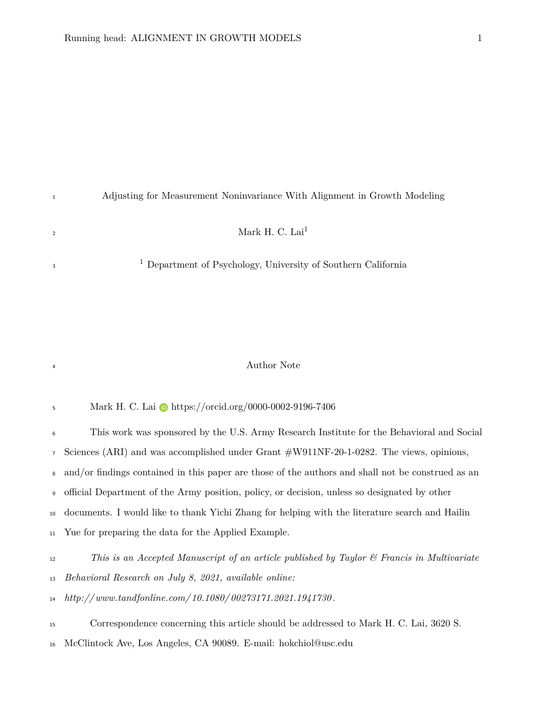<span id="page-0-0"></span>

| Adjusting for Measurement Noninvariance With Alignment in Growth Modeling |
|---------------------------------------------------------------------------|
| Mark H. C. Lai <sup>1</sup>                                               |
| <sup>1</sup> Department of Psychology, University of Southern California  |

#### Author Note

5 Mark H. C. Lai **b** <https://orcid.org/0000-0002-9196-7406>

 This work was sponsored by the U.S. Army Research Institute for the Behavioral and Social Sciences (ARI) and was accomplished under Grant #W911NF-20-1-0282. The views, opinions, and/or findings contained in this paper are those of the authors and shall not be construed as an official Department of the Army position, policy, or decision, unless so designated by other documents. I would like to thank Yichi Zhang for helping with the literature search and Hailin Yue for preparing the data for the Applied Example.

*This is an Accepted Manuscript of an article published by Taylor & Francis in Multivariate*

*Behavioral Research on July 8, 2021, available online:*

*[http://www.tandfonline.com/ 10.1080/ 00273171.2021.1941730 .](http://www.tandfonline.com/10.1080/00273171.2021.1941730)*

Correspondence concerning this article should be addressed to Mark H. C. Lai, 3620 S.

McClintock Ave, Los Angeles, CA 90089. E-mail: [hokchiol@usc.edu](mailto:hokchiol@usc.edu)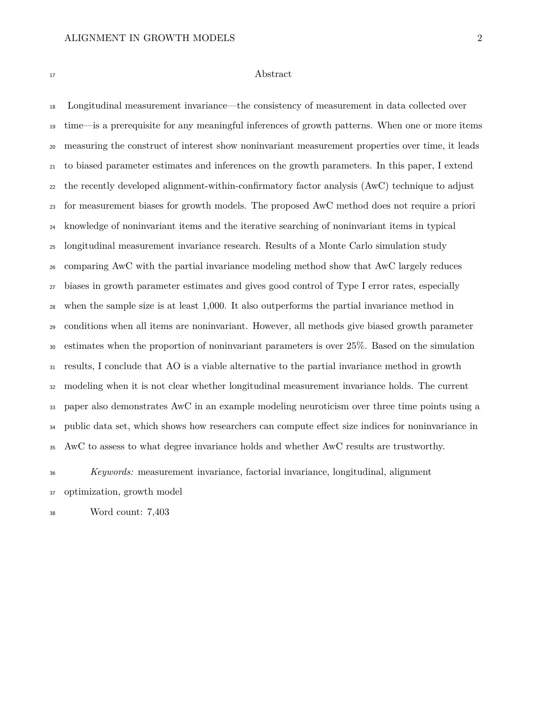### Abstract

 Longitudinal measurement invariance—the consistency of measurement in data collected over time—is a prerequisite for any meaningful inferences of growth patterns. When one or more items measuring the construct of interest show noninvariant measurement properties over time, it leads to biased parameter estimates and inferences on the growth parameters. In this paper, I extend the recently developed alignment-within-confirmatory factor analysis (AwC) technique to adjust for measurement biases for growth models. The proposed AwC method does not require a priori knowledge of noninvariant items and the iterative searching of noninvariant items in typical longitudinal measurement invariance research. Results of a Monte Carlo simulation study comparing AwC with the partial invariance modeling method show that AwC largely reduces biases in growth parameter estimates and gives good control of Type I error rates, especially when the sample size is at least 1,000. It also outperforms the partial invariance method in conditions when all items are noninvariant. However, all methods give biased growth parameter estimates when the proportion of noninvariant parameters is over 25%. Based on the simulation results, I conclude that AO is a viable alternative to the partial invariance method in growth modeling when it is not clear whether longitudinal measurement invariance holds. The current paper also demonstrates AwC in an example modeling neuroticism over three time points using a public data set, which shows how researchers can compute effect size indices for noninvariance in AwC to assess to what degree invariance holds and whether AwC results are trustworthy.

 *Keywords:* measurement invariance, factorial invariance, longitudinal, alignment optimization, growth model

Word count: 7,403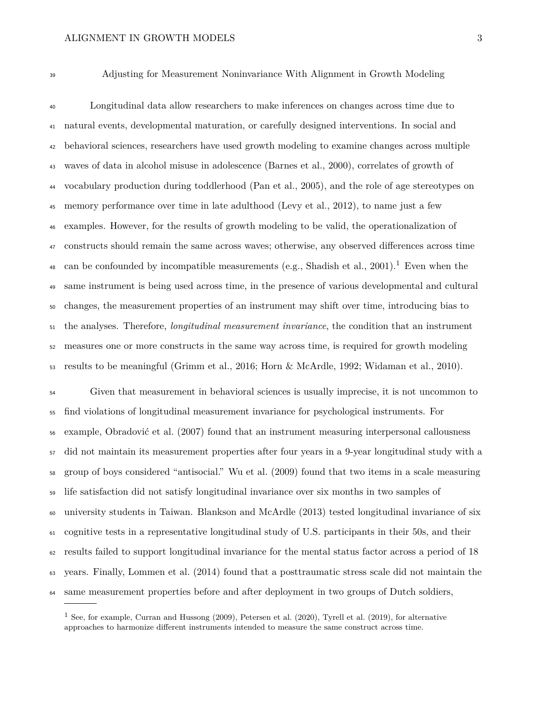Adjusting for Measurement Noninvariance With Alignment in Growth Modeling

 Longitudinal data allow researchers to make inferences on changes across time due to natural events, developmental maturation, or carefully designed interventions. In social and behavioral sciences, researchers have used growth modeling to examine changes across multiple waves of data in alcohol misuse in adolescence (Barnes et al., [2000\)](#page-25-0), correlates of growth of vocabulary production during toddlerhood (Pan et al., [2005\)](#page-29-0), and the role of age stereotypes on memory performance over time in late adulthood (Levy et al., [2012\)](#page-28-0), to name just a few examples. However, for the results of growth modeling to be valid, the operationalization of constructs should remain the same across waves; otherwise, any observed differences across time 48 can be confounded by incompatible measurements (e.g., Shadish et al., [2001\)](#page-30-0).<sup>[1](#page-0-0)</sup> Even when the same instrument is being used across time, in the presence of various developmental and cultural changes, the measurement properties of an instrument may shift over time, introducing bias to the analyses. Therefore, *longitudinal measurement invariance*, the condition that an instrument measures one or more constructs in the same way across time, is required for growth modeling results to be meaningful (Grimm et al., [2016;](#page-26-0) Horn & McArdle, [1992;](#page-26-1) Widaman et al., [2010\)](#page-30-1).

 Given that measurement in behavioral sciences is usually imprecise, it is not uncommon to find violations of longitudinal measurement invariance for psychological instruments. For example, Obradović et al. [\(2007\)](#page-29-1) found that an instrument measuring interpersonal callousness did not maintain its measurement properties after four years in a 9-year longitudinal study with a group of boys considered "antisocial." Wu et al. [\(2009\)](#page-31-0) found that two items in a scale measuring life satisfaction did not satisfy longitudinal invariance over six months in two samples of university students in Taiwan. Blankson and McArdle [\(2013\)](#page-25-1) tested longitudinal invariance of six cognitive tests in a representative longitudinal study of U.S. participants in their 50s, and their results failed to support longitudinal invariance for the mental status factor across a period of 18 years. Finally, Lommen et al. [\(2014\)](#page-28-1) found that a posttraumatic stress scale did not maintain the same measurement properties before and after deployment in two groups of Dutch soldiers,

<sup>&</sup>lt;sup>1</sup> See, for example, Curran and Hussong  $(2009)$ , Petersen et al.  $(2020)$ , Tyrell et al.  $(2019)$ , for alternative approaches to harmonize different instruments intended to measure the same construct across time.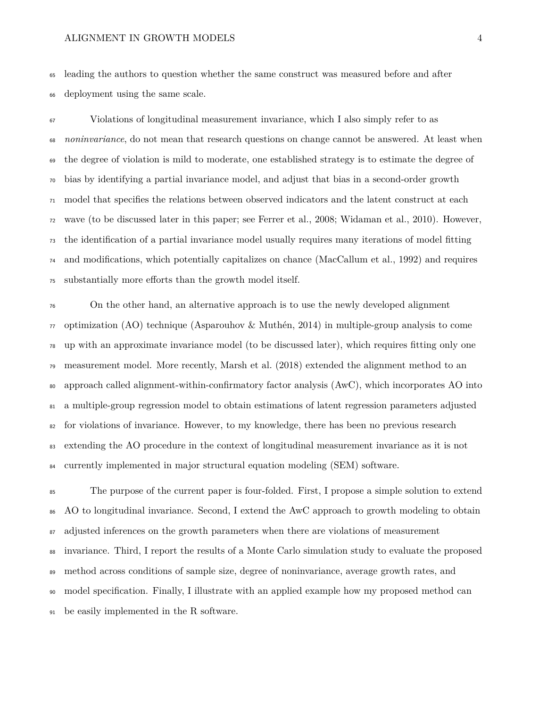leading the authors to question whether the same construct was measured before and after deployment using the same scale.

 Violations of longitudinal measurement invariance, which I also simply refer to as *noninvariance*, do not mean that research questions on change cannot be answered. At least when the degree of violation is mild to moderate, one established strategy is to estimate the degree of bias by identifying a partial invariance model, and adjust that bias in a second-order growth model that specifies the relations between observed indicators and the latent construct at each wave (to be discussed later in this paper; see Ferrer et al., [2008;](#page-26-3) Widaman et al., [2010\)](#page-30-1). However, the identification of a partial invariance model usually requires many iterations of model fitting and modifications, which potentially capitalizes on chance (MacCallum et al., [1992\)](#page-28-2) and requires substantially more efforts than the growth model itself.

 On the other hand, an alternative approach is to use the newly developed alignment  $\pi$  optimization (AO) technique (Asparouhov & Muthén, [2014\)](#page-25-2) in multiple-group analysis to come up with an approximate invariance model (to be discussed later), which requires fitting only one measurement model. More recently, Marsh et al. [\(2018\)](#page-28-3) extended the alignment method to an approach called alignment-within-confirmatory factor analysis (AwC), which incorporates AO into a multiple-group regression model to obtain estimations of latent regression parameters adjusted for violations of invariance. However, to my knowledge, there has been no previous research extending the AO procedure in the context of longitudinal measurement invariance as it is not currently implemented in major structural equation modeling (SEM) software.

 The purpose of the current paper is four-folded. First, I propose a simple solution to extend AO to longitudinal invariance. Second, I extend the AwC approach to growth modeling to obtain adjusted inferences on the growth parameters when there are violations of measurement invariance. Third, I report the results of a Monte Carlo simulation study to evaluate the proposed method across conditions of sample size, degree of noninvariance, average growth rates, and model specification. Finally, I illustrate with an applied example how my proposed method can be easily implemented in the R software.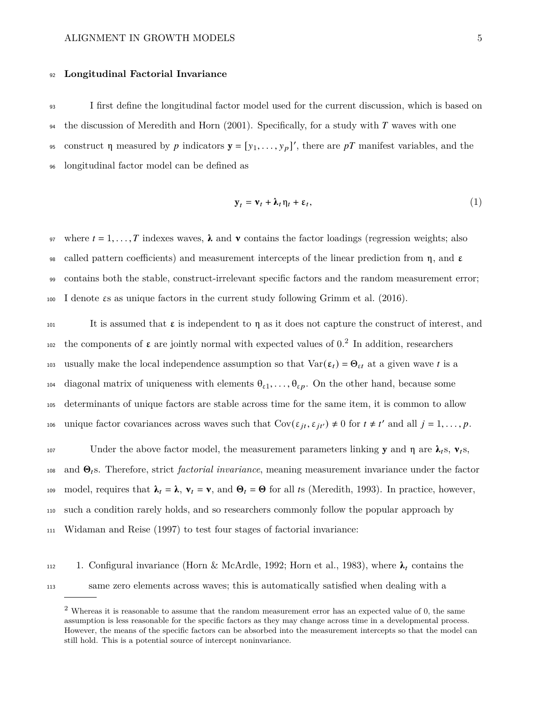### <sup>92</sup> **Longitudinal Factorial Invariance**

<sup>93</sup> I first define the longitudinal factor model used for the current discussion, which is based on <sup>94</sup> the discussion of Meredith and Horn [\(2001\)](#page-29-3). Specifically, for a study with T waves with one <sup>95</sup> construct η measured by *p* indicators  $\mathbf{y} = [y_1, \ldots, y_p]'$ , there are *pT* manifest variables, and the <sup>96</sup> longitudinal factor model can be defined as

<span id="page-4-0"></span>
$$
\mathbf{y}_t = \mathbf{v}_t + \mathbf{\lambda}_t \mathbf{\eta}_t + \varepsilon_t, \tag{1}
$$

97 where  $t = 1, \ldots, T$  indexes waves,  $\lambda$  and  $\nu$  contains the factor loadings (regression weights; also 98 called pattern coefficients) and measurement intercepts of the linear prediction from  $\eta$ , and  $\varepsilon$ <sup>99</sup> contains both the stable, construct-irrelevant specific factors and the random measurement error; <sup>100</sup> I denote εs as unique factors in the current study following Grimm et al. [\(2016\)](#page-26-0).

101 It is assumed that  $\epsilon$  is independent to  $\eta$  as it does not capture the construct of interest, and 10[2](#page-0-0) the components of  $\varepsilon$  are jointly normal with expected values of 0.<sup>2</sup> In addition, researchers 103 usually make the local independence assumption so that  $Var(\varepsilon_t) = \Theta_{\varepsilon t}$  at a given wave t is a 104 diagonal matrix of uniqueness with elements  $\theta_{\varepsilon 1}, \ldots, \theta_{\varepsilon p}$ . On the other hand, because some <sup>105</sup> determinants of unique factors are stable across time for the same item, it is common to allow 106 unique factor covariances across waves such that  $Cov(\varepsilon_{it}, \varepsilon_{it'}) \neq 0$  for  $t \neq t'$  and all  $j = 1, ..., p$ .

107 Under the above factor model, the measurement parameters linking y and  $\eta$  are  $\lambda_t$ s,  $v_t$ s, <sup>108</sup> and Θs. Therefore, strict *factorial invariance*, meaning measurement invariance under the factor 109 model, requires that  $\lambda_t = \lambda$ ,  $\mathbf{v}_t = \mathbf{v}$ , and  $\mathbf{\Theta}_t = \mathbf{\Theta}$  for all ts (Meredith, [1993\)](#page-29-4). In practice, however, <sup>110</sup> such a condition rarely holds, and so researchers commonly follow the popular approach by <sup>111</sup> Widaman and Reise [\(1997\)](#page-31-1) to test four stages of factorial invariance:

112 1. Configural invariance (Horn & McArdle, [1992;](#page-26-1) Horn et al., [1983\)](#page-26-4), where  $\lambda_t$  contains the <sup>113</sup> same zero elements across waves; this is automatically satisfied when dealing with a

<sup>2</sup> Whereas it is reasonable to assume that the random measurement error has an expected value of 0, the same assumption is less reasonable for the specific factors as they may change across time in a developmental process. However, the means of the specific factors can be absorbed into the measurement intercepts so that the model can still hold. This is a potential source of intercept noninvariance.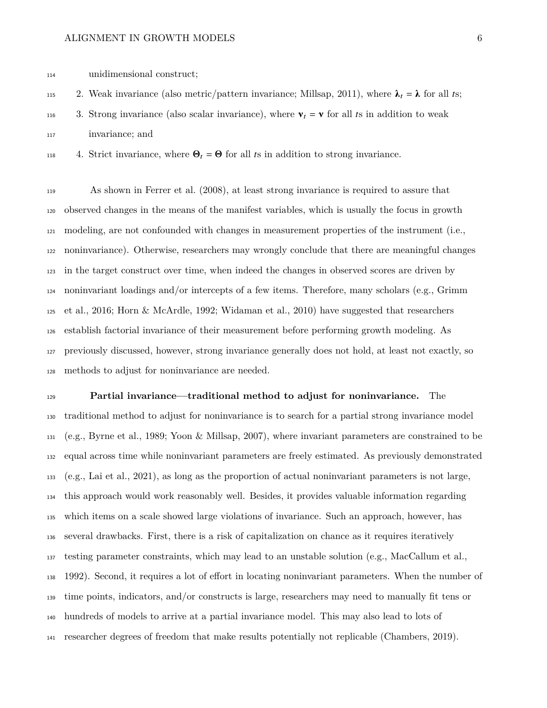unidimensional construct;

115 2. Weak invariance (also metric/pattern invariance; Millsap, [2011\)](#page-29-5), where  $\lambda_t = \lambda$  for all ts;

116 3. Strong invariance (also scalar invariance), where  $v_t = v$  for all ts in addition to weak

invariance; and

118 4. Strict invariance, where  $\mathbf{\Theta}_t = \mathbf{\Theta}$  for all ts in addition to strong invariance.

 As shown in Ferrer et al. [\(2008\)](#page-26-3), at least strong invariance is required to assure that observed changes in the means of the manifest variables, which is usually the focus in growth modeling, are not confounded with changes in measurement properties of the instrument (i.e., noninvariance). Otherwise, researchers may wrongly conclude that there are meaningful changes in the target construct over time, when indeed the changes in observed scores are driven by noninvariant loadings and/or intercepts of a few items. Therefore, many scholars (e.g., Grimm et al., [2016;](#page-26-0) Horn & McArdle, [1992;](#page-26-1) Widaman et al., [2010\)](#page-30-1) have suggested that researchers establish factorial invariance of their measurement before performing growth modeling. As previously discussed, however, strong invariance generally does not hold, at least not exactly, so methods to adjust for noninvariance are needed.

 **Partial invariance—traditional method to adjust for noninvariance.** The traditional method to adjust for noninvariance is to search for a partial strong invariance model (e.g., Byrne et al., [1989;](#page-25-3) Yoon & Millsap, [2007\)](#page-31-2), where invariant parameters are constrained to be equal across time while noninvariant parameters are freely estimated. As previously demonstrated (e.g., Lai et al., [2021\)](#page-27-0), as long as the proportion of actual noninvariant parameters is not large, this approach would work reasonably well. Besides, it provides valuable information regarding which items on a scale showed large violations of invariance. Such an approach, however, has several drawbacks. First, there is a risk of capitalization on chance as it requires iteratively testing parameter constraints, which may lead to an unstable solution (e.g., MacCallum et al., [1992\)](#page-28-2). Second, it requires a lot of effort in locating noninvariant parameters. When the number of time points, indicators, and/or constructs is large, researchers may need to manually fit tens or hundreds of models to arrive at a partial invariance model. This may also lead to lots of researcher degrees of freedom that make results potentially not replicable (Chambers, [2019\)](#page-26-5).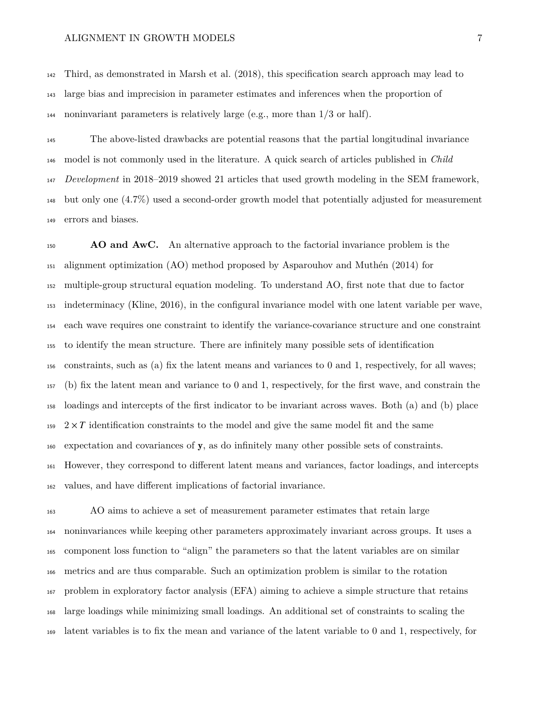Third, as demonstrated in Marsh et al. [\(2018\)](#page-28-3), this specification search approach may lead to large bias and imprecision in parameter estimates and inferences when the proportion of noninvariant parameters is relatively large (e.g., more than 1/3 or half).

 The above-listed drawbacks are potential reasons that the partial longitudinal invariance model is not commonly used in the literature. A quick search of articles published in *Child Development* in 2018–2019 showed 21 articles that used growth modeling in the SEM framework, but only one (4.7%) used a second-order growth model that potentially adjusted for measurement errors and biases.

 **AO and AwC.** An alternative approach to the factorial invariance problem is the alignment optimization (AO) method proposed by Asparouhov and Muthén [\(2014\)](#page-25-2) for multiple-group structural equation modeling. To understand AO, first note that due to factor indeterminacy (Kline, [2016\)](#page-27-1), in the configural invariance model with one latent variable per wave, each wave requires one constraint to identify the variance-covariance structure and one constraint to identify the mean structure. There are infinitely many possible sets of identification constraints, such as (a) fix the latent means and variances to 0 and 1, respectively, for all waves; (b) fix the latent mean and variance to 0 and 1, respectively, for the first wave, and constrain the loadings and intercepts of the first indicator to be invariant across waves. Both (a) and (b) place  $159\quad 2 \times T$  identification constraints to the model and give the same model fit and the same expectation and covariances of y, as do infinitely many other possible sets of constraints. However, they correspond to different latent means and variances, factor loadings, and intercepts values, and have different implications of factorial invariance.

 AO aims to achieve a set of measurement parameter estimates that retain large noninvariances while keeping other parameters approximately invariant across groups. It uses a component loss function to "align" the parameters so that the latent variables are on similar metrics and are thus comparable. Such an optimization problem is similar to the rotation problem in exploratory factor analysis (EFA) aiming to achieve a simple structure that retains large loadings while minimizing small loadings. An additional set of constraints to scaling the latent variables is to fix the mean and variance of the latent variable to 0 and 1, respectively, for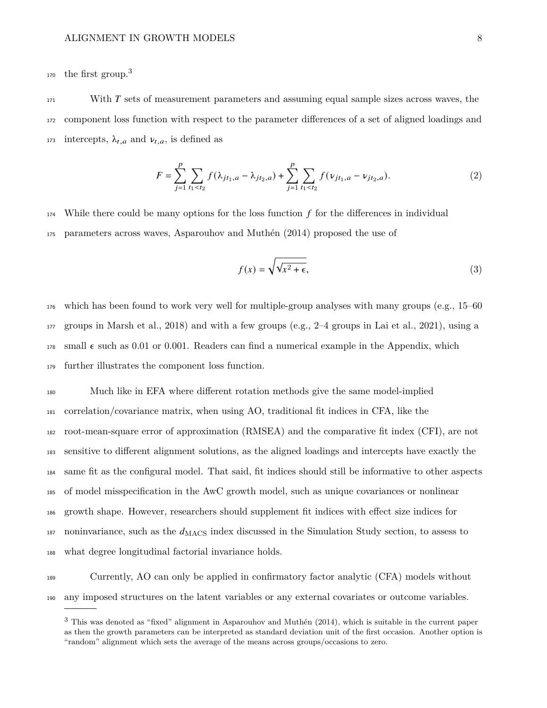the first group.[3](#page-0-0) 170

171 With T sets of measurement parameters and assuming equal sample sizes across waves, the <sup>172</sup> component loss function with respect to the parameter differences of a set of aligned loadings and 173 intercepts,  $\lambda_{t,a}$  and  $\nu_{t,a}$ , is defined as

<span id="page-7-0"></span>
$$
F = \sum_{j=1}^{p} \sum_{t_1 < t_2} f(\lambda_{jt_1, a} - \lambda_{jt_2, a}) + \sum_{j=1}^{p} \sum_{t_1 < t_2} f(\nu_{jt_1, a} - \nu_{jt_2, a}).\tag{2}
$$

 $174$  While there could be many options for the loss function f for the differences in individual <sup>175</sup> parameters across waves, Asparouhov and Muthén [\(2014\)](#page-25-2) proposed the use of

<span id="page-7-1"></span>
$$
f(x) = \sqrt{\sqrt{x^2 + \epsilon}},
$$
\n(3)

 which has been found to work very well for multiple-group analyses with many groups (e.g., 15–60 groups in Marsh et al., [2018\)](#page-28-3) and with a few groups (e.g., 2–4 groups in Lai et al., [2021\)](#page-27-0), using a 178 small  $\epsilon$  such as 0.01 or 0.001. Readers can find a numerical example in the Appendix, which further illustrates the component loss function.

 Much like in EFA where different rotation methods give the same model-implied correlation/covariance matrix, when using AO, traditional fit indices in CFA, like the root-mean-square error of approximation (RMSEA) and the comparative fit index (CFI), are not sensitive to different alignment solutions, as the aligned loadings and intercepts have exactly the same fit as the configural model. That said, fit indices should still be informative to other aspects of model misspecification in the AwC growth model, such as unique covariances or nonlinear growth shape. However, researchers should supplement fit indices with effect size indices for noninvariance, such as the  $d_{\text{MACS}}$  index discussed in the [Simulation Study](#page-10-0) section, to assess to what degree longitudinal factorial invariance holds.

<sup>189</sup> Currently, AO can only be applied in confirmatory factor analytic (CFA) models without <sup>190</sup> any imposed structures on the latent variables or any external covariates or outcome variables.

<sup>&</sup>lt;sup>3</sup> This was denoted as "fixed" alignment in Asparouhov and Muthén [\(2014\)](#page-25-2), which is suitable in the current paper as then the growth parameters can be interpreted as standard deviation unit of the first occasion. Another option is "random" alignment which sets the average of the means across groups/occasions to zero.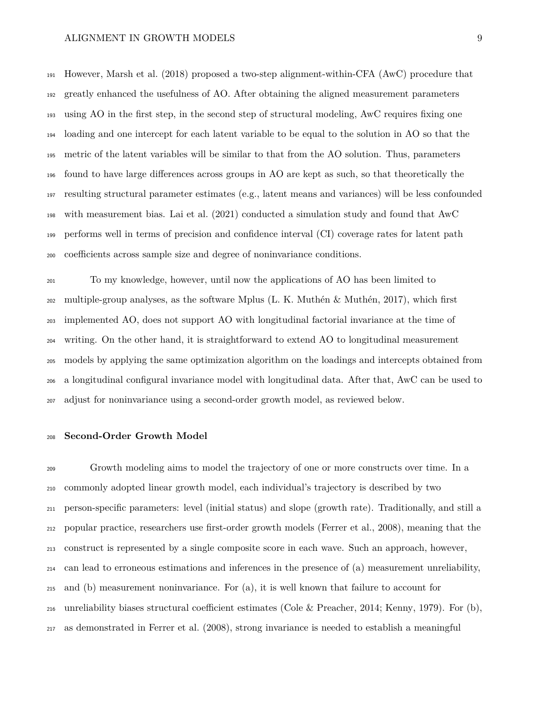However, Marsh et al. [\(2018\)](#page-28-3) proposed a two-step alignment-within-CFA (AwC) procedure that greatly enhanced the usefulness of AO. After obtaining the aligned measurement parameters using AO in the first step, in the second step of structural modeling, AwC requires fixing one loading and one intercept for each latent variable to be equal to the solution in AO so that the metric of the latent variables will be similar to that from the AO solution. Thus, parameters found to have large differences across groups in AO are kept as such, so that theoretically the resulting structural parameter estimates (e.g., latent means and variances) will be less confounded with measurement bias. Lai et al. [\(2021\)](#page-27-0) conducted a simulation study and found that AwC performs well in terms of precision and confidence interval (CI) coverage rates for latent path coefficients across sample size and degree of noninvariance conditions.

 To my knowledge, however, until now the applications of AO has been limited to multiple-group analyses, as the software Mplus (L. K. Muthén & Muthén, [2017\)](#page-29-6), which first implemented AO, does not support AO with longitudinal factorial invariance at the time of writing. On the other hand, it is straightforward to extend AO to longitudinal measurement models by applying the same optimization algorithm on the loadings and intercepts obtained from a longitudinal configural invariance model with longitudinal data. After that, AwC can be used to adjust for noninvariance using a second-order growth model, as reviewed below.

#### **Second-Order Growth Model**

 Growth modeling aims to model the trajectory of one or more constructs over time. In a commonly adopted linear growth model, each individual's trajectory is described by two person-specific parameters: level (initial status) and slope (growth rate). Traditionally, and still a popular practice, researchers use first-order growth models (Ferrer et al., [2008\)](#page-26-3), meaning that the construct is represented by a single composite score in each wave. Such an approach, however, can lead to erroneous estimations and inferences in the presence of (a) measurement unreliability, and (b) measurement noninvariance. For (a), it is well known that failure to account for unreliability biases structural coefficient estimates (Cole & Preacher, [2014;](#page-26-6) Kenny, [1979\)](#page-27-2). For (b), as demonstrated in Ferrer et al. [\(2008\)](#page-26-3), strong invariance is needed to establish a meaningful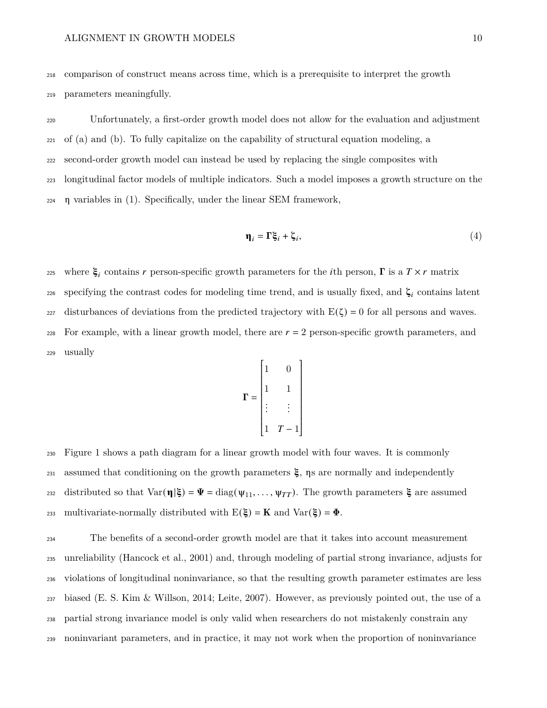<sup>218</sup> comparison of construct means across time, which is a prerequisite to interpret the growth

<sup>219</sup> parameters meaningfully.

 Unfortunately, a first-order growth model does not allow for the evaluation and adjustment of (a) and (b). To fully capitalize on the capability of structural equation modeling, a second-order growth model can instead be used by replacing the single composites with longitudinal factor models of multiple indicators. Such a model imposes a growth structure on the η variables in [\(1\)](#page-4-0). Specifically, under the linear SEM framework,

<span id="page-9-0"></span>
$$
\mathbf{\eta}_i = \Gamma \xi_i + \zeta_i,\tag{4}
$$

where  $\xi_i$  contains r person-specific growth parameters for the *i*th person,  $\Gamma$  is a  $T \times r$  matrix 226 specifying the contrast codes for modeling time trend, and is usually fixed, and  $\zeta_i$  contains latent 227 disturbances of deviations from the predicted trajectory with  $E(\zeta) = 0$  for all persons and waves.  $_{228}$  For example, with a linear growth model, there are  $r = 2$  person-specific growth parameters, and <sup>229</sup> usually

$$
\mathbf{\Gamma} = \begin{bmatrix} 1 & 0 \\ 1 & 1 \\ \vdots & \vdots \\ 1 & T - 1 \end{bmatrix}
$$

<sup>230</sup> Figure [1](#page-36-0) shows a path diagram for a linear growth model with four waves. It is commonly 231 assumed that conditioning on the growth parameters  $\xi$ ,  $\eta s$  are normally and independently 232 distributed so that  $\text{Var}(\eta|\xi) = \Psi = \text{diag}(\psi_{11}, \dots, \psi_{TT})$ . The growth parameters  $\xi$  are assumed 233 multivariate-normally distributed with  $E(\xi) = K$  and  $Var(\xi) = \Phi$ .

 The benefits of a second-order growth model are that it takes into account measurement unreliability (Hancock et al., [2001\)](#page-26-7) and, through modeling of partial strong invariance, adjusts for violations of longitudinal noninvariance, so that the resulting growth parameter estimates are less biased (E. S. Kim & Willson, [2014;](#page-27-3) Leite, [2007\)](#page-27-4). However, as previously pointed out, the use of a partial strong invariance model is only valid when researchers do not mistakenly constrain any noninvariant parameters, and in practice, it may not work when the proportion of noninvariance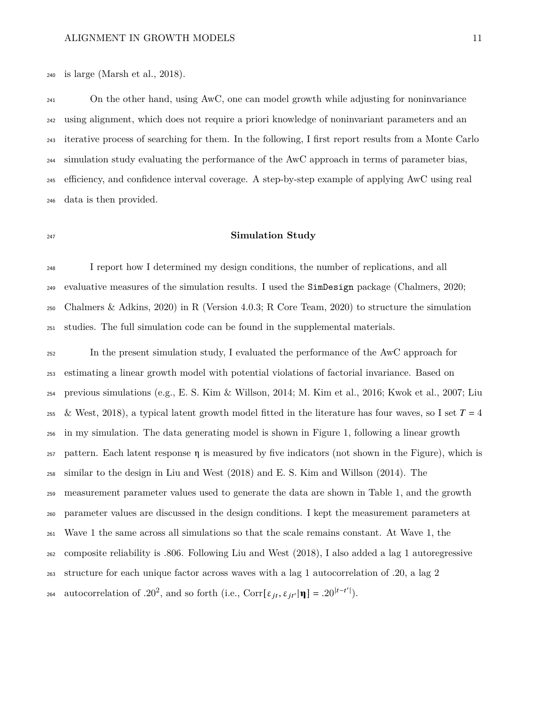is large (Marsh et al., [2018\)](#page-28-3).

 On the other hand, using AwC, one can model growth while adjusting for noninvariance using alignment, which does not require a priori knowledge of noninvariant parameters and an iterative process of searching for them. In the following, I first report results from a Monte Carlo simulation study evaluating the performance of the AwC approach in terms of parameter bias, efficiency, and confidence interval coverage. A step-by-step example of applying AwC using real data is then provided.

### <span id="page-10-0"></span>**Simulation Study**

 I report how I determined my design conditions, the number of replications, and all evaluative measures of the simulation results. I used the SimDesign package (Chalmers, [2020;](#page-25-4) Chalmers & Adkins, [2020\)](#page-25-5) in R (Version 4.0.3; R Core Team, [2020\)](#page-30-3) to structure the simulation studies. The full simulation code can be found in the supplemental materials.

 In the present simulation study, I evaluated the performance of the AwC approach for estimating a linear growth model with potential violations of factorial invariance. Based on previous simulations (e.g., E. S. Kim & Willson, [2014;](#page-27-3) M. Kim et al., [2016;](#page-27-5) Kwok et al., [2007;](#page-27-6) Liu 255 & West, [2018\)](#page-28-4), a typical latent growth model fitted in the literature has four waves, so I set  $T = 4$  in my simulation. The data generating model is shown in Figure [1,](#page-36-0) following a linear growth 257 pattern. Each latent response  $\eta$  is measured by five indicators (not shown in the Figure), which is similar to the design in Liu and West [\(2018\)](#page-28-4) and E. S. Kim and Willson [\(2014\)](#page-27-3). The measurement parameter values used to generate the data are shown in Table [1,](#page-32-0) and the growth parameter values are discussed in the design conditions. I kept the measurement parameters at Wave 1 the same across all simulations so that the scale remains constant. At Wave 1, the composite reliability is .806. Following Liu and West [\(2018\)](#page-28-4), I also added a lag 1 autoregressive structure for each unique factor across waves with a lag 1 autocorrelation of .20, a lag 2 264 autocorrelation of .20<sup>2</sup>, and so forth (i.e., Corr[ $\varepsilon_{it}$ ,  $\varepsilon_{it'}|\mathbf{\eta}| = .20^{|t-t'|}$ ).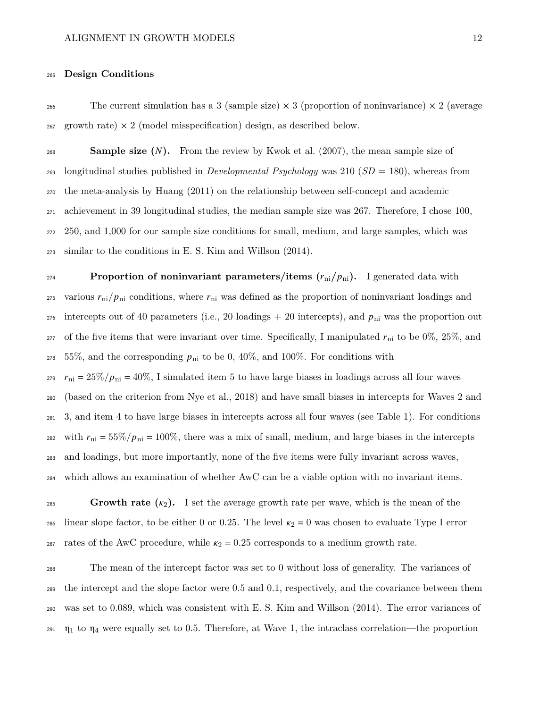### <sup>265</sup> **Design Conditions**

<sup>266</sup> The current simulation has a 3 (sample size)  $\times$  3 (proportion of noninvariance)  $\times$  2 (average 267 growth rate)  $\times$  2 (model misspecification) design, as described below.

 **Sample size ().** From the review by Kwok et al. [\(2007\)](#page-27-6), the mean sample size of longitudinal studies published in *Developmental Psychology* was 210 (*SD* = 180), whereas from the meta-analysis by Huang [\(2011\)](#page-27-7) on the relationship between self-concept and academic achievement in 39 longitudinal studies, the median sample size was 267. Therefore, I chose 100, 250, and 1,000 for our sample size conditions for small, medium, and large samples, which was similar to the conditions in E. S. Kim and Willson [\(2014\)](#page-27-3).

**Proportion of noninvariant parameters/items**  $(r_{ni}/p_{ni})$ **.** I generated data with 275 various  $r_{\rm ni}/p_{\rm ni}$  conditions, where  $r_{\rm ni}$  was defined as the proportion of noninvariant loadings and 276 intercepts out of 40 parameters (i.e., 20 loadings  $+$  20 intercepts), and  $p_{\text{ni}}$  was the proportion out 277 of the five items that were invariant over time. Specifically, I manipulated  $r_{\rm ni}$  to be 0%, 25%, and  $278$  55%, and the corresponding  $p_{\text{ni}}$  to be 0, 40%, and 100%. For conditions with  $r_{\rm ni} = 25\%/p_{\rm ni} = 40\%$ , I simulated item 5 to have large biases in loadings across all four waves <sup>280</sup> (based on the criterion from Nye et al., [2018\)](#page-29-7) and have small biases in intercepts for Waves 2 and <sup>281</sup> 3, and item 4 to have large biases in intercepts across all four waves (see Table [1\)](#page-32-0). For conditions 282 with  $r_{\text{ni}} = 55\% / p_{\text{ni}} = 100\%$ , there was a mix of small, medium, and large biases in the intercepts <sup>283</sup> and loadings, but more importantly, none of the five items were fully invariant across waves, <sup>284</sup> which allows an examination of whether AwC can be a viable option with no invariant items.

**Growth rate**  $(\kappa_2)$ . I set the average growth rate per wave, which is the mean of the 286 linear slope factor, to be either 0 or 0.25. The level  $\kappa_2 = 0$  was chosen to evaluate Type I error <sup>287</sup> rates of the AwC procedure, while  $\kappa_2 = 0.25$  corresponds to a medium growth rate.

 The mean of the intercept factor was set to 0 without loss of generality. The variances of the intercept and the slope factor were 0.5 and 0.1, respectively, and the covariance between them was set to 0.089, which was consistent with E. S. Kim and Willson [\(2014\)](#page-27-3). The error variances of  $\eta_1$  to  $\eta_4$  were equally set to 0.5. Therefore, at Wave 1, the intraclass correlation—the proportion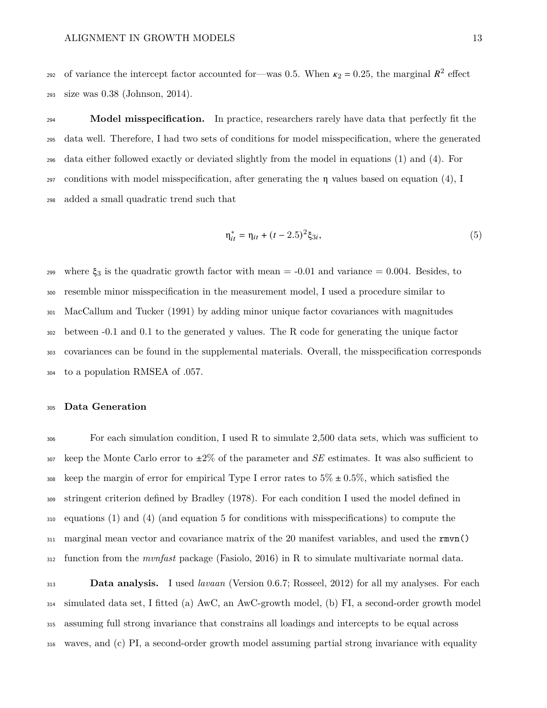292 of variance the intercept factor accounted for—was 0.5. When  $\kappa_2 = 0.25$ , the marginal  $R^2$  effect size was 0.38 (Johnson, [2014\)](#page-27-8).

**Model misspecification.** In practice, researchers rarely have data that perfectly fit the data well. Therefore, I had two sets of conditions for model misspecification, where the generated data either followed exactly or deviated slightly from the model in equations [\(1\)](#page-4-0) and [\(4\)](#page-9-0). For conditions with model misspecification, after generating the η values based on equation [\(4\)](#page-9-0), I added a small quadratic trend such that

<span id="page-12-0"></span>
$$
\eta_{it}^* = \eta_{it} + (t - 2.5)^2 \xi_{3i},\tag{5}
$$

299 where  $\xi_3$  is the quadratic growth factor with mean  $=$  -0.01 and variance  $=$  0.004. Besides, to resemble minor misspecification in the measurement model, I used a procedure similar to MacCallum and Tucker [\(1991\)](#page-28-5) by adding minor unique factor covariances with magnitudes between -0.1 and 0.1 to the generated values. The R code for generating the unique factor covariances can be found in the supplemental materials. Overall, the misspecification corresponds to a population RMSEA of .057.

### **Data Generation**

 For each simulation condition, I used R to simulate 2,500 data sets, which was sufficient to keep the Monte Carlo error to  $\pm 2\%$  of the parameter and *SE* estimates. It was also sufficient to 308 keep the margin of error for empirical Type I error rates to  $5\% \pm 0.5\%$ , which satisfied the stringent criterion defined by Bradley [\(1978\)](#page-25-6). For each condition I used the model defined in equations [\(1\)](#page-4-0) and [\(4\)](#page-9-0) (and equation [5](#page-12-0) for conditions with misspecifications) to compute the marginal mean vector and covariance matrix of the 20 manifest variables, and used the rmvn() function from the *mvnfast* package (Fasiolo, [2016\)](#page-26-8) in R to simulate multivariate normal data.

 **Data analysis.** I used *lavaan* (Version 0.6.7; Rosseel, [2012\)](#page-30-4) for all my analyses. For each simulated data set, I fitted (a) AwC, an AwC-growth model, (b) FI, a second-order growth model assuming full strong invariance that constrains all loadings and intercepts to be equal across waves, and (c) PI, a second-order growth model assuming partial strong invariance with equality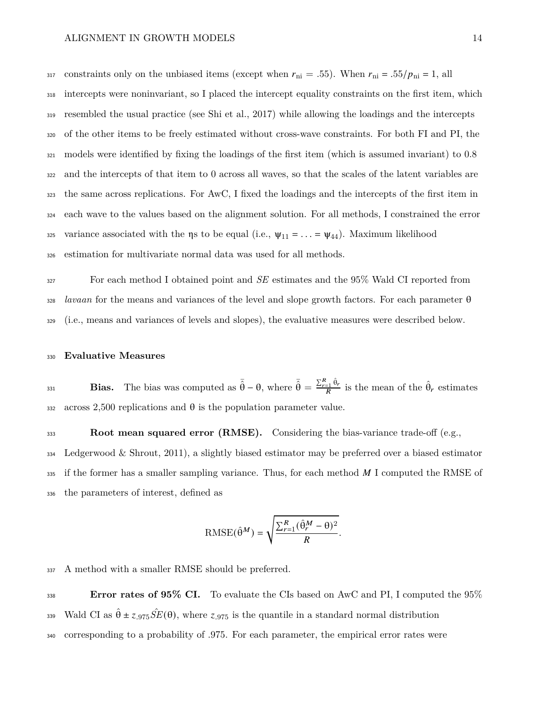317 constraints only on the unbiased items (except when  $r_{\text{ni}} = .55$ ). When  $r_{\text{ni}} = .55/p_{\text{ni}} = 1$ , all intercepts were noninvariant, so I placed the intercept equality constraints on the first item, which resembled the usual practice (see Shi et al., [2017\)](#page-30-5) while allowing the loadings and the intercepts of the other items to be freely estimated without cross-wave constraints. For both FI and PI, the models were identified by fixing the loadings of the first item (which is assumed invariant) to 0.8 and the intercepts of that item to 0 across all waves, so that the scales of the latent variables are the same across replications. For AwC, I fixed the loadings and the intercepts of the first item in each wave to the values based on the alignment solution. For all methods, I constrained the error 325 variance associated with the  $\eta$ s to be equal (i.e.,  $\psi_{11} = \ldots = \psi_{44}$ ). Maximum likelihood estimation for multivariate normal data was used for all methods.

<sup>327</sup> For each method I obtained point and *SE* estimates and the 95% Wald CI reported from <sup>328</sup> *lavaan* for the means and variances of the level and slope growth factors. For each parameter θ <sup>329</sup> (i.e., means and variances of levels and slopes), the evaluative measures were described below.

### <sup>330</sup> **Evaluative Measures**

**Bias.** The bias was computed as  $\bar{\hat{\theta}} - \theta$ , where  $\bar{\hat{\theta}} = \frac{\sum_{r=1}^{R} \hat{\theta}_r}{R}$  is the mean of the  $\hat{\theta}_r$  estimates 332 across 2,500 replications and  $\theta$  is the population parameter value.

**Root mean squared error (RMSE).** Considering the bias-variance trade-off (e.g., <sup>334</sup> Ledgerwood & Shrout, [2011\)](#page-27-9), a slightly biased estimator may be preferred over a biased estimator 335 if the former has a smaller sampling variance. Thus, for each method  $M$  I computed the RMSE of <sup>336</sup> the parameters of interest, defined as

RMSE(
$$
\hat{\theta}^M
$$
) =  $\sqrt{\frac{\sum_{r=1}^{R} (\hat{\theta}_r^M - \theta)^2}{R}}$ .

<sup>337</sup> A method with a smaller RMSE should be preferred.

<sup>338</sup> **Error rates of 95% CI.** To evaluate the CIs based on AwC and PI, I computed the 95% <sup>339</sup> Wald CI as  $\hat{\theta} \pm z_{.975} S\hat{E}(\theta)$ , where  $z_{.975}$  is the quantile in a standard normal distribution <sup>340</sup> corresponding to a probability of .975. For each parameter, the empirical error rates were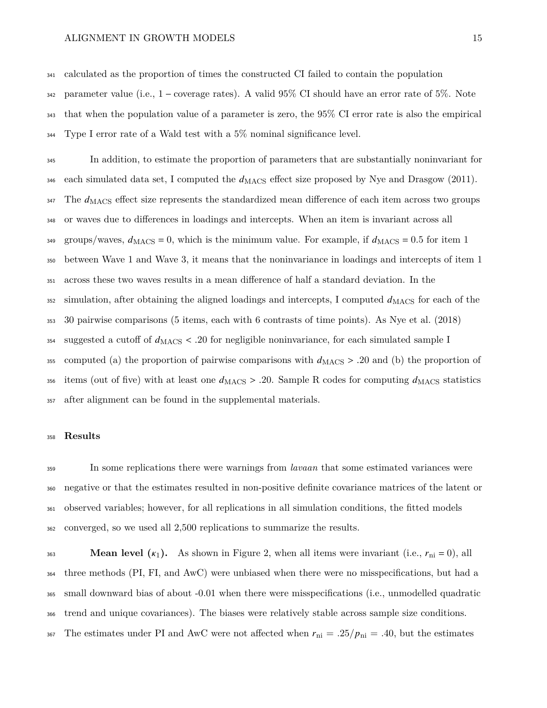calculated as the proportion of times the constructed CI failed to contain the population parameter value (i.e., 1 − coverage rates). A valid 95% CI should have an error rate of 5%. Note that when the population value of a parameter is zero, the 95% CI error rate is also the empirical Type I error rate of a Wald test with a 5% nominal significance level.

 In addition, to estimate the proportion of parameters that are substantially noninvariant for 346 each simulated data set, I computed the  $d_{\text{MACS}}$  effect size proposed by Nye and Drasgow [\(2011\)](#page-29-8). The  $d_{\rm MACS}$  effect size represents the standardized mean difference of each item across two groups or waves due to differences in loadings and intercepts. When an item is invariant across all 349 groups/waves,  $d_{\rm MACS} = 0$ , which is the minimum value. For example, if  $d_{\rm MACS} = 0.5$  for item 1 between Wave 1 and Wave 3, it means that the noninvariance in loadings and intercepts of item 1 across these two waves results in a mean difference of half a standard deviation. In the simulation, after obtaining the aligned loadings and intercepts, I computed  $d_{\rm MACS}$  for each of the 30 pairwise comparisons (5 items, each with 6 contrasts of time points). As Nye et al. [\(2018\)](#page-29-7) 354 suggested a cutoff of  $d_{\text{MACS}} < .20$  for negligible noninvariance, for each simulated sample I 355 computed (a) the proportion of pairwise comparisons with  $d_{\text{MACS}} > .20$  and (b) the proportion of 356 items (out of five) with at least one  $d_{\text{MACS}} > .20$ . Sample R codes for computing  $d_{\text{MACS}}$  statistics after alignment can be found in the supplemental materials.

### **Results**

 In some replications there were warnings from *lavaan* that some estimated variances were negative or that the estimates resulted in non-positive definite covariance matrices of the latent or observed variables; however, for all replications in all simulation conditions, the fitted models converged, so we used all 2,500 replications to summarize the results.

**Mean level**  $(\kappa_1)$ **.** As shown in Figure [2,](#page-37-0) when all items were invariant (i.e.,  $r_{ni} = 0$ ), all three methods (PI, FI, and AwC) were unbiased when there were no misspecifications, but had a small downward bias of about -0.01 when there were misspecifications (i.e., unmodelled quadratic trend and unique covariances). The biases were relatively stable across sample size conditions. 367 The estimates under PI and AwC were not affected when  $r_{\text{ni}} = .25/p_{\text{ni}} = .40$ , but the estimates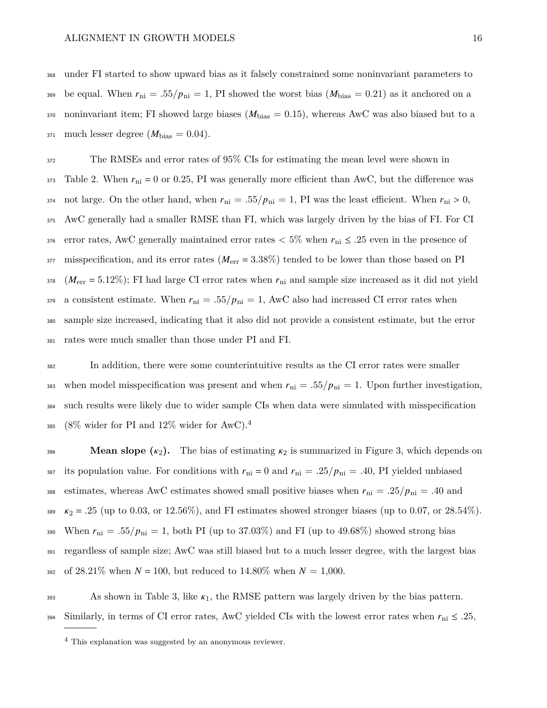<sup>368</sup> under FI started to show upward bias as it falsely constrained some noninvariant parameters to 369 be equal. When  $r_{\text{ni}} = .55/p_{\text{ni}} = 1$ , PI showed the worst bias  $(M_{\text{bias}} = 0.21)$  as it anchored on a 370 noninvariant item; FI showed large biases  $(M_{bias} = 0.15)$ , whereas AwC was also biased but to a 371 much lesser degree  $(M_{\text{bias}} = 0.04)$ .

<sup>372</sup> The RMSEs and error rates of 95% CIs for estimating the mean level were shown in 373 Table [2.](#page-33-0) When  $r_{ni} = 0$  or 0.25, PI was generally more efficient than AwC, but the difference was 374 not large. On the other hand, when  $r_{\text{ni}} = .55/p_{\text{ni}} = 1$ , PI was the least efficient. When  $r_{\text{ni}} > 0$ , <sup>375</sup> AwC generally had a smaller RMSE than FI, which was largely driven by the bias of FI. For CI 376 error rates, AwC generally maintained error rates  $<$  5% when  $r_{\text{ni}} \leq .25$  even in the presence of  $377$  misspecification, and its error rates  $(M_{\text{err}} = 3.38\%)$  tended to be lower than those based on PI  $1378$   $(M_{\text{err}} = 5.12\%)$ ; FI had large CI error rates when  $r_{\text{ni}}$  and sample size increased as it did not yield 379 a consistent estimate. When  $r_{\text{ni}} = .55/p_{\text{ni}} = 1$ , AwC also had increased CI error rates when <sup>380</sup> sample size increased, indicating that it also did not provide a consistent estimate, but the error <sup>381</sup> rates were much smaller than those under PI and FI.

<sup>382</sup> In addition, there were some counterintuitive results as the CI error rates were smaller 383 when model misspecification was present and when  $r_{\text{ni}} = .55/p_{\text{ni}} = 1$ . Upon further investigation, <sup>384</sup> such results were likely due to wider sample CIs when data were simulated with misspecification  $(8\% \text{ wider for PI and } 12\% \text{ wider for AwC}).$ <sup>[4](#page-0-0)</sup> 385

**Mean slope**  $(\kappa_2)$ . The bias of estimating  $\kappa_2$  is summarized in Figure [3,](#page-38-0) which depends on 387 its population value. For conditions with  $r_{\text{ni}} = 0$  and  $r_{\text{ni}} = .25/p_{\text{ni}} = .40$ , PI yielded unbiased 388 estimates, whereas AwC estimates showed small positive biases when  $r_{\text{ni}} = .25/p_{\text{ni}} = .40$  and 389  $\kappa_2 = .25$  (up to 0.03, or 12.56%), and FI estimates showed stronger biases (up to 0.07, or 28.54%). 390 When  $r_{\text{ni}} = .55/p_{\text{ni}} = 1$ , both PI (up to 37.03%) and FI (up to 49.68%) showed strong bias <sup>391</sup> regardless of sample size; AwC was still biased but to a much lesser degree, with the largest bias 392 of 28.21% when  $N = 100$ , but reduced to 14.80% when  $N = 1,000$ .

393 As shown in Table [3,](#page-34-0) like  $\kappa_1$ , the RMSE pattern was largely driven by the bias pattern. 394 Similarly, in terms of CI error rates, AwC yielded CIs with the lowest error rates when  $r_{\text{ni}} \leq .25$ ,

<sup>4</sup> This explanation was suggested by an anonymous reviewer.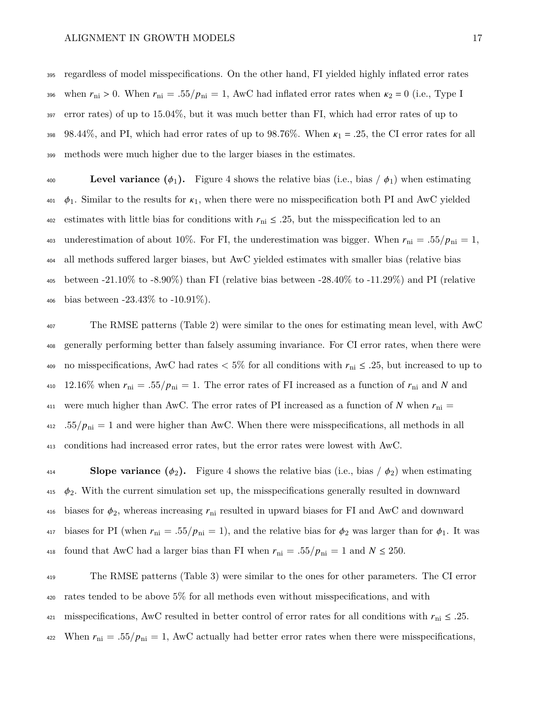<sup>395</sup> regardless of model misspecifications. On the other hand, FI yielded highly inflated error rates 396 when  $r_{\text{ni}} > 0$ . When  $r_{\text{ni}} = .55/p_{\text{ni}} = 1$ , AwC had inflated error rates when  $\kappa_2 = 0$  (i.e., Type I <sup>397</sup> error rates) of up to 15.04%, but it was much better than FI, which had error rates of up to 398 98.44%, and PI, which had error rates of up to 98.76%. When  $\kappa_1 = .25$ , the CI error rates for all <sup>399</sup> methods were much higher due to the larger biases in the estimates.

400 **Level variance**  $(\phi_1)$ **.** Figure [4](#page-39-0) shows the relative bias (i.e., bias  $(\phi_1)$ ) when estimating  $\phi_1$ . Similar to the results for  $\kappa_1$ , when there were no misspecification both PI and AwC yielded 402 estimates with little bias for conditions with  $r_{\rm ni} \leq .25$ , but the misspecification led to an 403 underestimation of about 10%. For FI, the underestimation was bigger. When  $r_{\text{ni}} = .55/p_{\text{ni}} = 1$ , <sup>404</sup> all methods suffered larger biases, but AwC yielded estimates with smaller bias (relative bias <sup>405</sup> between -21.10% to -8.90%) than FI (relative bias between -28.40% to -11.29%) and PI (relative 406 bias between  $-23.43\%$  to  $-10.91\%$ ).

<sup>407</sup> The RMSE patterns (Table [2\)](#page-33-0) were similar to the ones for estimating mean level, with AwC <sup>408</sup> generally performing better than falsely assuming invariance. For CI error rates, when there were 409 no misspecifications, AwC had rates  $< 5\%$  for all conditions with  $r_{\text{ni}} \leq .25$ , but increased to up to 410 12.16% when  $r_{\text{ni}} = .55/p_{\text{ni}} = 1$ . The error rates of FI increased as a function of  $r_{\text{ni}}$  and N and 411 were much higher than AwC. The error rates of PI increased as a function of N when  $r_{\text{ni}} =$  $_{412}$  .55/ $p_{ni} = 1$  and were higher than AwC. When there were misspecifications, all methods in all <sup>413</sup> conditions had increased error rates, but the error rates were lowest with AwC.

414 **Slope variance**  $(\phi_2)$ . Figure [4](#page-39-0) shows the relative bias (i.e., bias  $(\phi_2)$ ) when estimating 415  $\phi_2$ . With the current simulation set up, the misspecifications generally resulted in downward 416 biases for  $\phi_2$ , whereas increasing  $r_{\rm ni}$  resulted in upward biases for FI and AwC and downward 417 biases for PI (when  $r_{\rm ni} = .55/p_{\rm ni} = 1$ ), and the relative bias for  $\phi_2$  was larger than for  $\phi_1$ . It was 418 found that AwC had a larger bias than FI when  $r_{\text{ni}} = .55/p_{\text{ni}} = 1$  and  $N \le 250$ .

<sup>419</sup> The RMSE patterns (Table [3\)](#page-34-0) were similar to the ones for other parameters. The CI error <sup>420</sup> rates tended to be above 5% for all methods even without misspecifications, and with 421 misspecifications, AwC resulted in better control of error rates for all conditions with  $r_{\text{ni}} \leq .25$ . 422 When  $r_{\text{ni}} = .55/p_{\text{ni}} = 1$ , AwC actually had better error rates when there were misspecifications,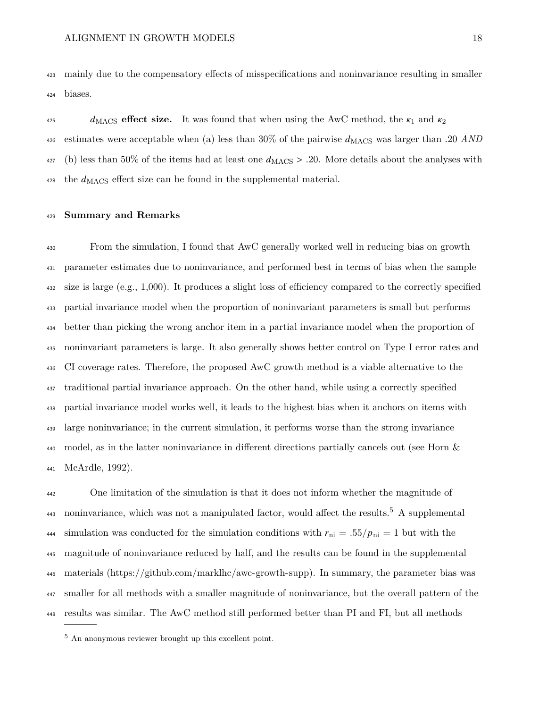mainly due to the compensatory effects of misspecifications and noninvariance resulting in smaller biases.

<sup>425</sup>  $d_{\text{MACS}}$  **effect size.** It was found that when using the AwC method, the  $\kappa_1$  and  $\kappa_2$ <sup>426</sup> estimates were acceptable when (a) less than  $30\%$  of the pairwise  $d_{\text{MACS}}$  was larger than .20 *AND*  $_{427}$  (b) less than 50% of the items had at least one  $d_{\rm MACS} > .20$ . More details about the analyses with the  $d_{\text{MACS}}$  effect size can be found in the supplemental material.

### **Summary and Remarks**

 From the simulation, I found that AwC generally worked well in reducing bias on growth parameter estimates due to noninvariance, and performed best in terms of bias when the sample size is large (e.g., 1,000). It produces a slight loss of efficiency compared to the correctly specified partial invariance model when the proportion of noninvariant parameters is small but performs better than picking the wrong anchor item in a partial invariance model when the proportion of noninvariant parameters is large. It also generally shows better control on Type I error rates and CI coverage rates. Therefore, the proposed AwC growth method is a viable alternative to the traditional partial invariance approach. On the other hand, while using a correctly specified partial invariance model works well, it leads to the highest bias when it anchors on items with large noninvariance; in the current simulation, it performs worse than the strong invariance model, as in the latter noninvariance in different directions partially cancels out (see Horn & McArdle, [1992\)](#page-26-1).

 One limitation of the simulation is that it does not inform whether the magnitude of  $\mu$ <sup>443</sup> noninvariance, which was not a manipulated factor, would affect the results.<sup>[5](#page-0-0)</sup> A supplemental 444 simulation was conducted for the simulation conditions with  $r_{\text{ni}} = .55/p_{\text{ni}} = 1$  but with the magnitude of noninvariance reduced by half, and the results can be found in the supplemental materials [\(https://github.com/marklhc/awc-growth-supp\)](https://github.com/marklhc/awc-growth-supp). In summary, the parameter bias was smaller for all methods with a smaller magnitude of noninvariance, but the overall pattern of the results was similar. The AwC method still performed better than PI and FI, but all methods

An anonymous reviewer brought up this excellent point.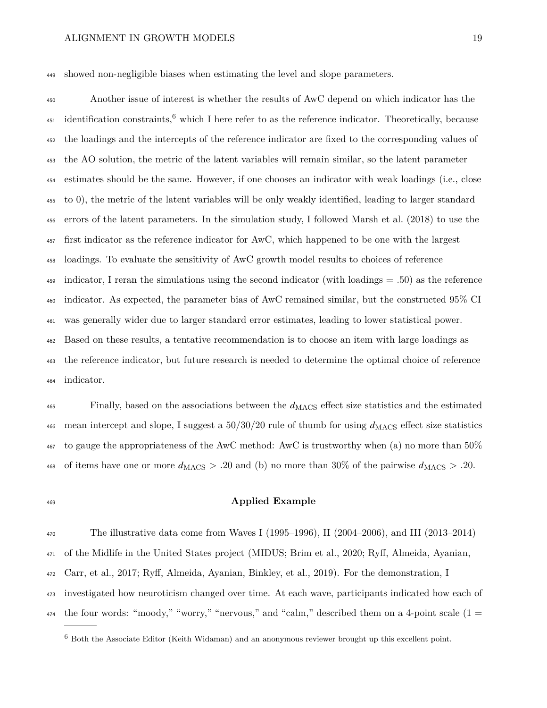showed non-negligible biases when estimating the level and slope parameters.

Another issue of interest is whether the results of AwC depend on which indicator has the  $\mu_{451}$  identification constraints,  $\delta$  which I here refer to as the reference indicator. Theoretically, because the loadings and the intercepts of the reference indicator are fixed to the corresponding values of the AO solution, the metric of the latent variables will remain similar, so the latent parameter estimates should be the same. However, if one chooses an indicator with weak loadings (i.e., close to 0), the metric of the latent variables will be only weakly identified, leading to larger standard errors of the latent parameters. In the simulation study, I followed Marsh et al. [\(2018\)](#page-28-3) to use the first indicator as the reference indicator for AwC, which happened to be one with the largest loadings. To evaluate the sensitivity of AwC growth model results to choices of reference indicator, I reran the simulations using the second indicator (with loadings = .50) as the reference indicator. As expected, the parameter bias of AwC remained similar, but the constructed 95% CI was generally wider due to larger standard error estimates, leading to lower statistical power. Based on these results, a tentative recommendation is to choose an item with large loadings as the reference indicator, but future research is needed to determine the optimal choice of reference indicator.

 $\epsilon_{\text{465}}$  Finally, based on the associations between the  $d_{\text{MACS}}$  effect size statistics and the estimated 466 mean intercept and slope, I suggest a  $50/30/20$  rule of thumb for using  $d_{\rm MACS}$  effect size statistics to gauge the appropriateness of the AwC method: AwC is trustworthy when (a) no more than 50% 468 of items have one or more  $d_{\text{MACS}} > .20$  and (b) no more than 30% of the pairwise  $d_{\text{MACS}} > .20$ .

## **Applied Example**

 The illustrative data come from Waves I (1995–1996), II (2004–2006), and III (2013–2014) of the Midlife in the United States project (MIDUS; Brim et al., [2020;](#page-25-7) Ryff, Almeida, Ayanian, Carr, et al., [2017;](#page-30-6) Ryff, Almeida, Ayanian, Binkley, et al., [2019\)](#page-30-7). For the demonstration, I investigated how neuroticism changed over time. At each wave, participants indicated how each of  $_{474}$  the four words: "moody," "worry," "nervous," and "calm," described them on a 4-point scale (1 =

Both the Associate Editor (Keith Widaman) and an anonymous reviewer brought up this excellent point.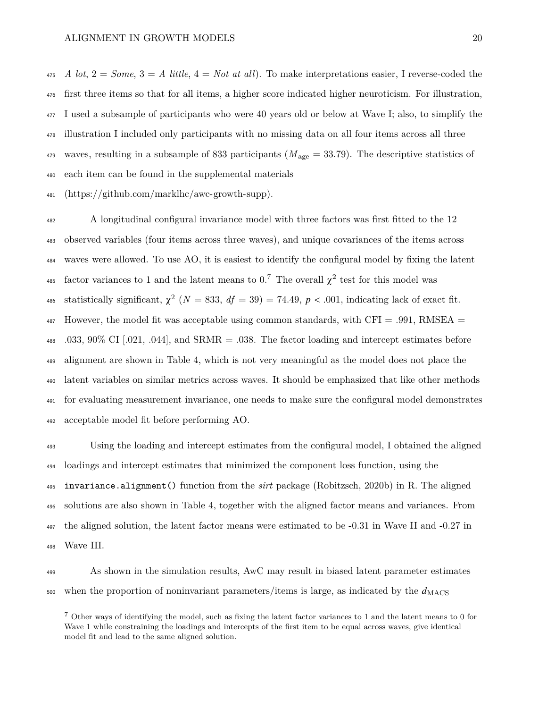*A lot*,  $2 = Some$ ,  $3 = A$  *little*,  $4 = Not$  *at all*). To make interpretations easier, I reverse-coded the first three items so that for all items, a higher score indicated higher neuroticism. For illustration, I used a subsample of participants who were 40 years old or below at Wave I; also, to simplify the illustration I included only participants with no missing data on all four items across all three 479 waves, resulting in a subsample of 833 participants  $(M<sub>age</sub> = 33.79)$ . The descriptive statistics of each item can be found in the supplemental materials

[\(https://github.com/marklhc/awc-growth-supp\)](https://github.com/marklhc/awc-growth-supp).

 A longitudinal configural invariance model with three factors was first fitted to the 12 observed variables (four items across three waves), and unique covariances of the items across waves were allowed. To use AO, it is easiest to identify the configural model by fixing the latent 485 factor variances to 1 and the latent means to  $0.^7$  $0.^7$  The overall  $\chi^2$  test for this model was 486 statistically significant,  $\chi^2$  ( $N = 833$ ,  $df = 39$ ) = 74.49,  $p < .001$ , indicating lack of exact fit.  $_{487}$  However, the model fit was acceptable using common standards, with CFI = .991, RMSEA = .033, 90% CI [.021, .044], and SRMR = .038. The factor loading and intercept estimates before alignment are shown in Table [4,](#page-35-0) which is not very meaningful as the model does not place the latent variables on similar metrics across waves. It should be emphasized that like other methods for evaluating measurement invariance, one needs to make sure the configural model demonstrates acceptable model fit before performing AO.

 Using the loading and intercept estimates from the configural model, I obtained the aligned loadings and intercept estimates that minimized the component loss function, using the invariance.alignment() function from the *sirt* package (Robitzsch, [2020b\)](#page-30-8) in R. The aligned solutions are also shown in Table [4,](#page-35-0) together with the aligned factor means and variances. From the aligned solution, the latent factor means were estimated to be -0.31 in Wave II and -0.27 in Wave III.

 As shown in the simulation results, AwC may result in biased latent parameter estimates 500 when the proportion of noninvariant parameters/items is large, as indicated by the  $d_{\text{MACS}}$ 

 Other ways of identifying the model, such as fixing the latent factor variances to 1 and the latent means to 0 for Wave 1 while constraining the loadings and intercepts of the first item to be equal across waves, give identical model fit and lead to the same aligned solution.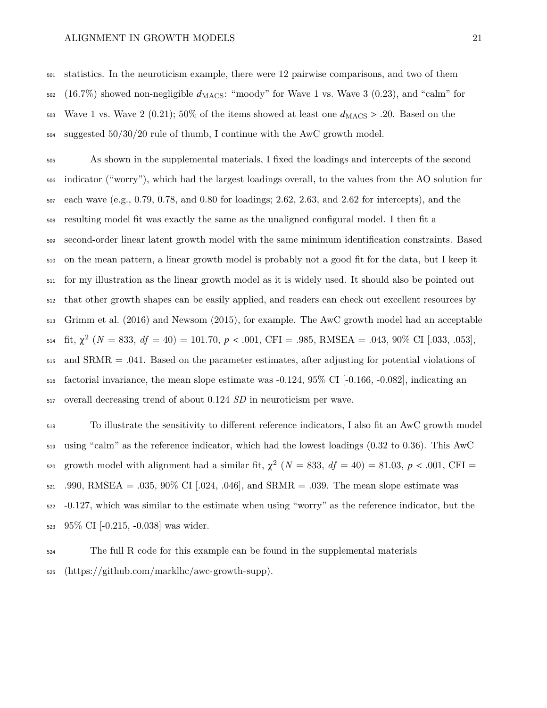statistics. In the neuroticism example, there were 12 pairwise comparisons, and two of them (16.7%) showed non-negligible  $d_{\rm MACS}$ : "moody" for Wave 1 vs. Wave 3 (0.23), and "calm" for 503 Wave 1 vs. Wave 2 (0.21); 50% of the items showed at least one  $d_{\text{MACS}} > .20$ . Based on the suggested  $50/30/20$  rule of thumb, I continue with the AwC growth model.

 As shown in the supplemental materials, I fixed the loadings and intercepts of the second indicator ("worry"), which had the largest loadings overall, to the values from the AO solution for each wave (e.g., 0.79, 0.78, and 0.80 for loadings; 2.62, 2.63, and 2.62 for intercepts), and the resulting model fit was exactly the same as the unaligned configural model. I then fit a second-order linear latent growth model with the same minimum identification constraints. Based on the mean pattern, a linear growth model is probably not a good fit for the data, but I keep it for my illustration as the linear growth model as it is widely used. It should also be pointed out that other growth shapes can be easily applied, and readers can check out excellent resources by Grimm et al. [\(2016\)](#page-26-0) and Newsom [\(2015\)](#page-29-9), for example. The AwC growth model had an acceptable 514 fit,  $\chi^2$  ( $N = 833$ ,  $df = 40$ ) = 101.70,  $p < .001$ , CFI = .985, RMSEA = .043, 90% CI [.033, .053], and SRMR = .041. Based on the parameter estimates, after adjusting for potential violations of factorial invariance, the mean slope estimate was -0.124, 95% CI [-0.166, -0.082], indicating an overall decreasing trend of about 0.124 *SD* in neuroticism per wave.

 To illustrate the sensitivity to different reference indicators, I also fit an AwC growth model using "calm" as the reference indicator, which had the lowest loadings (0.32 to 0.36). This AwC <sup>520</sup> growth model with alignment had a similar fit,  $\chi^2$  ( $N = 833$ ,  $df = 40$ ) = 81.03,  $p < .001$ , CFI = 521 .990, RMSEA = .035, 90% CI [.024, .046], and SRMR = .039. The mean slope estimate was -0.127, which was similar to the estimate when using "worry" as the reference indicator, but the 95% CI [-0.215, -0.038] was wider.

 The full R code for this example can be found in the supplemental materials [\(https://github.com/marklhc/awc-growth-supp\)](https://github.com/marklhc/awc-growth-supp).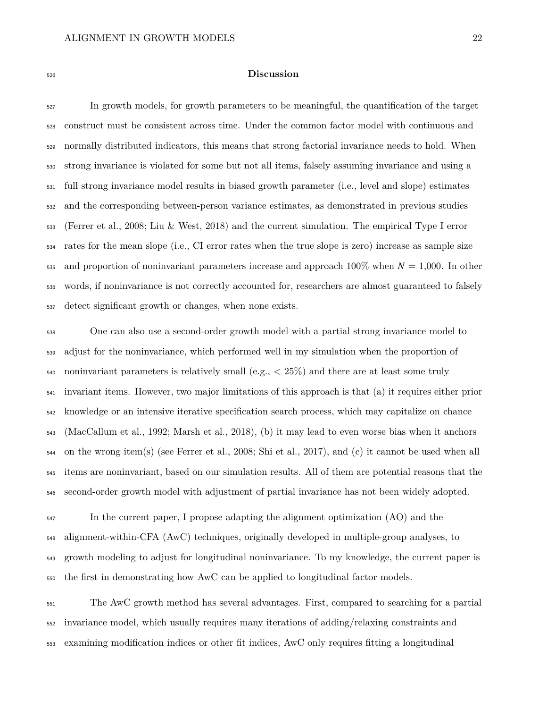### **Discussion**

 In growth models, for growth parameters to be meaningful, the quantification of the target construct must be consistent across time. Under the common factor model with continuous and normally distributed indicators, this means that strong factorial invariance needs to hold. When strong invariance is violated for some but not all items, falsely assuming invariance and using a full strong invariance model results in biased growth parameter (i.e., level and slope) estimates and the corresponding between-person variance estimates, as demonstrated in previous studies (Ferrer et al., [2008;](#page-26-3) Liu & West, [2018\)](#page-28-4) and the current simulation. The empirical Type I error rates for the mean slope (i.e., CI error rates when the true slope is zero) increase as sample size 535 and proportion of noninvariant parameters increase and approach  $100\%$  when  $N = 1,000$ . In other words, if noninvariance is not correctly accounted for, researchers are almost guaranteed to falsely detect significant growth or changes, when none exists.

 One can also use a second-order growth model with a partial strong invariance model to adjust for the noninvariance, which performed well in my simulation when the proportion of 540 noninvariant parameters is relatively small (e.g.,  $\langle 25\% \rangle$ ) and there are at least some truly invariant items. However, two major limitations of this approach is that (a) it requires either prior knowledge or an intensive iterative specification search process, which may capitalize on chance (MacCallum et al., [1992;](#page-28-2) Marsh et al., [2018\)](#page-28-3), (b) it may lead to even worse bias when it anchors on the wrong item(s) (see Ferrer et al., [2008;](#page-26-3) Shi et al., [2017\)](#page-30-5), and (c) it cannot be used when all items are noninvariant, based on our simulation results. All of them are potential reasons that the second-order growth model with adjustment of partial invariance has not been widely adopted.

 In the current paper, I propose adapting the alignment optimization (AO) and the alignment-within-CFA (AwC) techniques, originally developed in multiple-group analyses, to growth modeling to adjust for longitudinal noninvariance. To my knowledge, the current paper is the first in demonstrating how AwC can be applied to longitudinal factor models.

 The AwC growth method has several advantages. First, compared to searching for a partial invariance model, which usually requires many iterations of adding/relaxing constraints and examining modification indices or other fit indices, AwC only requires fitting a longitudinal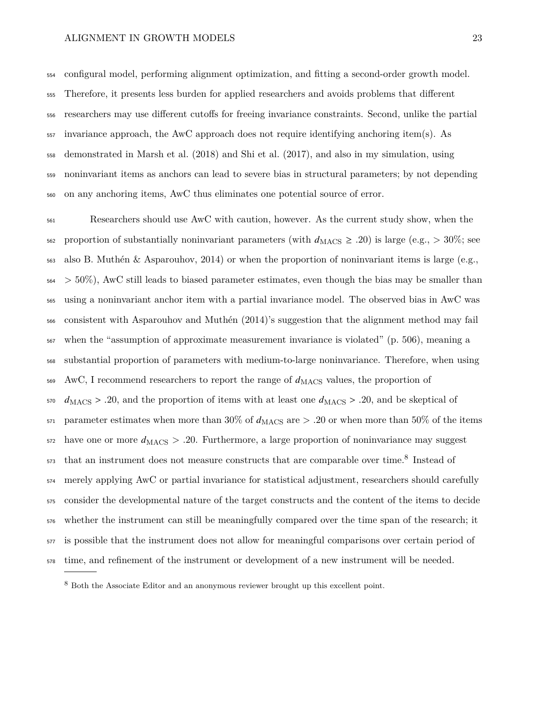configural model, performing alignment optimization, and fitting a second-order growth model. Therefore, it presents less burden for applied researchers and avoids problems that different researchers may use different cutoffs for freeing invariance constraints. Second, unlike the partial invariance approach, the AwC approach does not require identifying anchoring item(s). As demonstrated in Marsh et al. [\(2018\)](#page-28-3) and Shi et al. [\(2017\)](#page-30-5), and also in my simulation, using noninvariant items as anchors can lead to severe bias in structural parameters; by not depending on any anchoring items, AwC thus eliminates one potential source of error.

 Researchers should use AwC with caution, however. As the current study show, when the 562 proportion of substantially noninvariant parameters (with  $d_{\text{MACS}} \ge .20$ ) is large (e.g.,  $> 30\%$ ; see also B. Muthén & Asparouhov, [2014\)](#page-29-10) or when the proportion of noninvariant items is large (e.g.,  $564 > 50\%$ , AwC still leads to biased parameter estimates, even though the bias may be smaller than using a noninvariant anchor item with a partial invariance model. The observed bias in AwC was consistent with Asparouhov and Muthén [\(2014\)](#page-25-2)'s suggestion that the alignment method may fail when the "assumption of approximate measurement invariance is violated" (p. 506), meaning a substantial proportion of parameters with medium-to-large noninvariance. Therefore, when using AwC, I recommend researchers to report the range of  $d_{\rm MACS}$  values, the proportion of  $d_{\text{MACS}} > .20$ , and the proportion of items with at least one  $d_{\text{MACS}} > .20$ , and be skeptical of 571 parameter estimates when more than 30% of  $d_{\rm MACS}$  are  $> .20$  or when more than 50% of the items have one or more  $d_{\rm MACS} > .20$ . Furthermore, a large proportion of noninvariance may suggest that an instrument does not measure constructs that are comparable over time.<sup>[8](#page-0-0)</sup> Instead of merely applying AwC or partial invariance for statistical adjustment, researchers should carefully consider the developmental nature of the target constructs and the content of the items to decide whether the instrument can still be meaningfully compared over the time span of the research; it is possible that the instrument does not allow for meaningful comparisons over certain period of time, and refinement of the instrument or development of a new instrument will be needed.

Both the Associate Editor and an anonymous reviewer brought up this excellent point.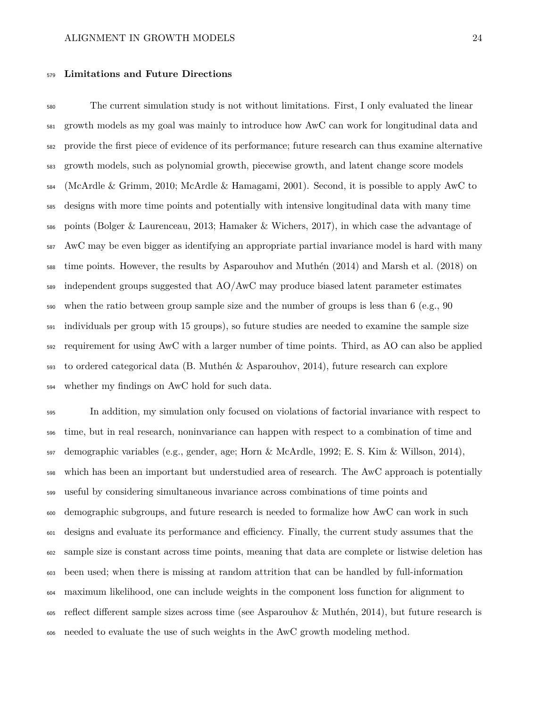### **Limitations and Future Directions**

 The current simulation study is not without limitations. First, I only evaluated the linear growth models as my goal was mainly to introduce how AwC can work for longitudinal data and provide the first piece of evidence of its performance; future research can thus examine alternative growth models, such as polynomial growth, piecewise growth, and latent change score models (McArdle & Grimm, [2010;](#page-28-6) McArdle & Hamagami, [2001\)](#page-28-7). Second, it is possible to apply AwC to designs with more time points and potentially with intensive longitudinal data with many time points (Bolger & Laurenceau, [2013;](#page-25-8) Hamaker & Wichers, [2017\)](#page-26-9), in which case the advantage of AwC may be even bigger as identifying an appropriate partial invariance model is hard with many time points. However, the results by Asparouhov and Muthén [\(2014\)](#page-25-2) and Marsh et al. [\(2018\)](#page-28-3) on independent groups suggested that AO/AwC may produce biased latent parameter estimates when the ratio between group sample size and the number of groups is less than 6 (e.g., 90 individuals per group with 15 groups), so future studies are needed to examine the sample size requirement for using AwC with a larger number of time points. Third, as AO can also be applied to ordered categorical data (B. Muthén & Asparouhov, [2014\)](#page-29-10), future research can explore whether my findings on AwC hold for such data.

 In addition, my simulation only focused on violations of factorial invariance with respect to time, but in real research, noninvariance can happen with respect to a combination of time and  $\frac{1}{597}$  demographic variables (e.g., gender, age; Horn & McArdle, [1992;](#page-26-1) E. S. Kim & Willson, [2014\)](#page-27-3), which has been an important but understudied area of research. The AwC approach is potentially useful by considering simultaneous invariance across combinations of time points and demographic subgroups, and future research is needed to formalize how AwC can work in such designs and evaluate its performance and efficiency. Finally, the current study assumes that the sample size is constant across time points, meaning that data are complete or listwise deletion has been used; when there is missing at random attrition that can be handled by full-information maximum likelihood, one can include weights in the component loss function for alignment to reflect different sample sizes across time (see Asparouhov & Muthén, [2014\)](#page-25-2), but future research is needed to evaluate the use of such weights in the AwC growth modeling method.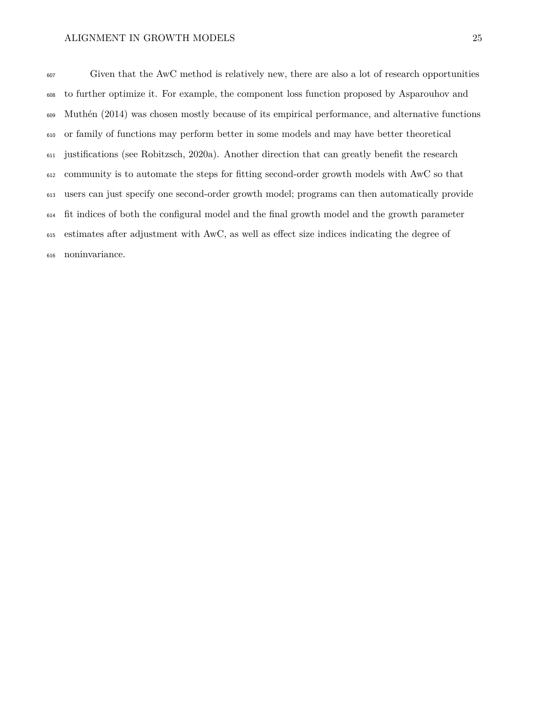Given that the AwC method is relatively new, there are also a lot of research opportunities to further optimize it. For example, the component loss function proposed by Asparouhov and Muthén [\(2014\)](#page-25-2) was chosen mostly because of its empirical performance, and alternative functions or family of functions may perform better in some models and may have better theoretical justifications (see Robitzsch, [2020a\)](#page-30-9). Another direction that can greatly benefit the research community is to automate the steps for fitting second-order growth models with AwC so that users can just specify one second-order growth model; programs can then automatically provide fit indices of both the configural model and the final growth model and the growth parameter estimates after adjustment with AwC, as well as effect size indices indicating the degree of noninvariance.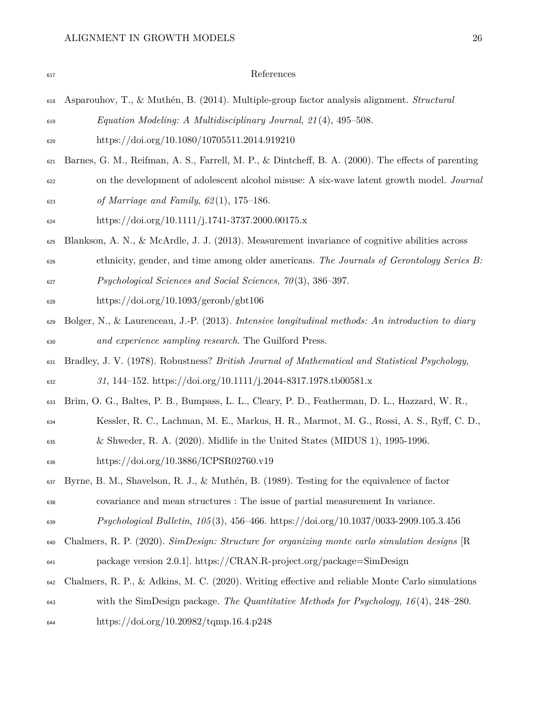<span id="page-25-8"></span><span id="page-25-7"></span><span id="page-25-6"></span><span id="page-25-5"></span><span id="page-25-4"></span><span id="page-25-3"></span><span id="page-25-2"></span><span id="page-25-1"></span><span id="page-25-0"></span>

| 617 | References                                                                                         |
|-----|----------------------------------------------------------------------------------------------------|
| 618 | Asparouhov, T., & Muthén, B. (2014). Multiple-group factor analysis alignment. Structural          |
| 619 | Equation Modeling: A Multidisciplinary Journal, 21(4), 495-508.                                    |
| 620 | https://doi.org/10.1080/10705511.2014.919210                                                       |
| 621 | Barnes, G. M., Reifman, A. S., Farrell, M. P., & Dintcheff, B. A. (2000). The effects of parenting |
| 622 | on the development of adolescent alcohol misuse: A six-wave latent growth model. Journal           |
| 623 | of Marriage and Family, $62(1)$ , 175-186.                                                         |
| 624 | https://doi.org/10.1111/j.1741-3737.2000.00175.x                                                   |
| 625 | Blankson, A. N., & McArdle, J. J. (2013). Measurement invariance of cognitive abilities across     |
| 626 | ethnicity, gender, and time among older americans. The Journals of Gerontology Series B:           |
| 627 | Psychological Sciences and Social Sciences, $70(3)$ , 386-397.                                     |
| 628 | https://doi.org/10.1093/geronb/gbt106                                                              |
| 629 | Bolger, N., & Laurenceau, J.-P. (2013). Intensive longitudinal methods: An introduction to diary   |
| 630 | and experience sampling research. The Guilford Press.                                              |
| 631 | Bradley, J. V. (1978). Robustness? British Journal of Mathematical and Statistical Psychology,     |
| 632 | 31, 144-152. https://doi.org/10.1111/j.2044-8317.1978.tb00581.x                                    |
| 633 | Brim, O. G., Baltes, P. B., Bumpass, L. L., Cleary, P. D., Featherman, D. L., Hazzard, W. R.,      |
| 634 | Kessler, R. C., Lachman, M. E., Markus, H. R., Marmot, M. G., Rossi, A. S., Ryff, C. D.,           |
| 635 | & Shweder, R. A. $(2020)$ . Midlife in the United States (MIDUS 1), 1995-1996.                     |
| 636 | https://doi.org/10.3886/ICPSR02760.v19                                                             |
| 637 | Byrne, B. M., Shavelson, R. J., & Muthén, B. (1989). Testing for the equivalence of factor         |
| 638 | covariance and mean structures : The issue of partial measurement In variance.                     |
| 639 | <i>Psychological Bulletin, 105</i> (3), 456–466. https://doi.org/10.1037/0033-2909.105.3.456       |
| 640 | Chalmers, R. P. (2020). SimDesign: Structure for organizing monte carlo simulation designs [R      |
| 641 | package version 2.0.1. https://CRAN.R-project.org/package=SimDesign                                |
| 642 | Chalmers, R. P., & Adkins, M. C. (2020). Writing effective and reliable Monte Carlo simulations    |
| 643 | with the SimDesign package. The Quantitative Methods for Psychology, $16(4)$ , 248–280.            |
| 644 | https://doi.org/10.20982/tqmp.16.4.p248                                                            |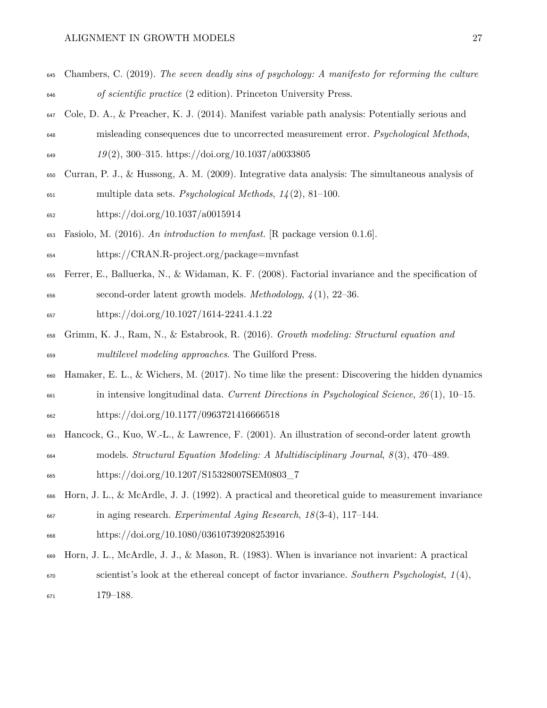- <span id="page-26-5"></span> Chambers, C. (2019). *The seven deadly sins of psychology: A manifesto for reforming the culture of scientific practice* (2 edition). Princeton University Press.
- <span id="page-26-6"></span> Cole, D. A., & Preacher, K. J. (2014). Manifest variable path analysis: Potentially serious and misleading consequences due to uncorrected measurement error. *Psychological Methods*, *19* (2), 300–315.<https://doi.org/10.1037/a0033805>
- <span id="page-26-2"></span> Curran, P. J., & Hussong, A. M. (2009). Integrative data analysis: The simultaneous analysis of multiple data sets. *Psychological Methods*, *14* (2), 81–100.
- <span id="page-26-8"></span><https://doi.org/10.1037/a0015914>
- Fasiolo, M. (2016). *An introduction to mvnfast.* [R package version 0.1.6].
- <https://CRAN.R-project.org/package=mvnfast>
- <span id="page-26-3"></span> Ferrer, E., Balluerka, N., & Widaman, K. F. (2008). Factorial invariance and the specification of second-order latent growth models. *Methodology*, *4* (1), 22–36.
- <https://doi.org/10.1027/1614-2241.4.1.22>
- <span id="page-26-0"></span> Grimm, K. J., Ram, N., & Estabrook, R. (2016). *Growth modeling: Structural equation and multilevel modeling approaches*. The Guilford Press.
- <span id="page-26-9"></span> Hamaker, E. L., & Wichers, M. (2017). No time like the present: Discovering the hidden dynamics in intensive longitudinal data. *Current Directions in Psychological Science*, *26* (1), 10–15.
- <span id="page-26-7"></span><https://doi.org/10.1177/0963721416666518>
- Hancock, G., Kuo, W.-L., & Lawrence, F. (2001). An illustration of second-order latent growth models. *Structural Equation Modeling: A Multidisciplinary Journal*, *8* (3), 470–489.

<span id="page-26-1"></span>[https://doi.org/10.1207/S15328007SEM0803\\_7](https://doi.org/10.1207/S15328007SEM0803_7)

- Horn, J. L., & McArdle, J. J. (1992). A practical and theoretical guide to measurement invariance in aging research. *Experimental Aging Research*, *18* (3-4), 117–144.
- <https://doi.org/10.1080/03610739208253916>
- <span id="page-26-4"></span> Horn, J. L., McArdle, J. J., & Mason, R. (1983). When is invariance not invarient: A practical scientist's look at the ethereal concept of factor invariance. *Southern Psychologist*, *1* (4), 179–188.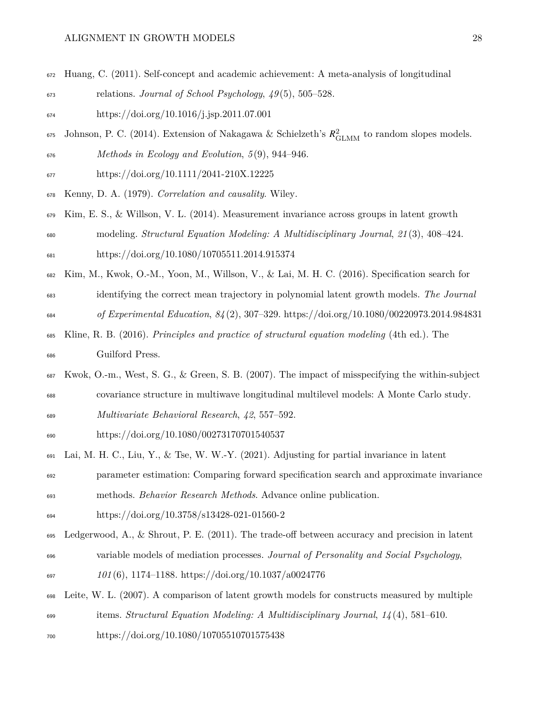- <span id="page-27-7"></span>Huang, C. (2011). Self-concept and academic achievement: A meta-analysis of longitudinal
- relations. *Journal of School Psychology*, *49* (5), 505–528.
- <https://doi.org/10.1016/j.jsp.2011.07.001>
- <span id="page-27-8"></span><sup>675</sup> Johnson, P. C. (2014). Extension of Nakagawa & Schielzeth's  $R_{\text{GLMM}}^2$  to random slopes models. *Methods in Ecology and Evolution*, *5* (9), 944–946.
- <span id="page-27-2"></span><https://doi.org/10.1111/2041-210X.12225>
- <span id="page-27-3"></span>Kenny, D. A. (1979). *Correlation and causality*. Wiley.
- Kim, E. S., & Willson, V. L. (2014). Measurement invariance across groups in latent growth modeling. *Structural Equation Modeling: A Multidisciplinary Journal*, *21* (3), 408–424. <https://doi.org/10.1080/10705511.2014.915374>
- <span id="page-27-5"></span> Kim, M., Kwok, O.-M., Yoon, M., Willson, V., & Lai, M. H. C. (2016). Specification search for identifying the correct mean trajectory in polynomial latent growth models. *The Journal of Experimental Education*, *84* (2), 307–329.<https://doi.org/10.1080/00220973.2014.984831>
- <span id="page-27-1"></span> Kline, R. B. (2016). *Principles and practice of structural equation modeling* (4th ed.). The Guilford Press.
- <span id="page-27-6"></span> Kwok, O.-m., West, S. G., & Green, S. B. (2007). The impact of misspecifying the within-subject covariance structure in multiwave longitudinal multilevel models: A Monte Carlo study.
- *Multivariate Behavioral Research*, *42*, 557–592.

<span id="page-27-0"></span><https://doi.org/10.1080/00273170701540537>

- Lai, M. H. C., Liu, Y., & Tse, W. W.-Y. (2021). Adjusting for partial invariance in latent
- parameter estimation: Comparing forward specification search and approximate invariance methods. *Behavior Research Methods*. Advance online publication.
- <span id="page-27-9"></span><https://doi.org/10.3758/s13428-021-01560-2>
- Ledgerwood, A., & Shrout, P. E. (2011). The trade-off between accuracy and precision in latent variable models of mediation processes. *Journal of Personality and Social Psychology*,
- *101* (6), 1174–1188.<https://doi.org/10.1037/a0024776>
- <span id="page-27-4"></span> Leite, W. L. (2007). A comparison of latent growth models for constructs measured by multiple items. *Structural Equation Modeling: A Multidisciplinary Journal*, *14* (4), 581–610.
- <https://doi.org/10.1080/10705510701575438>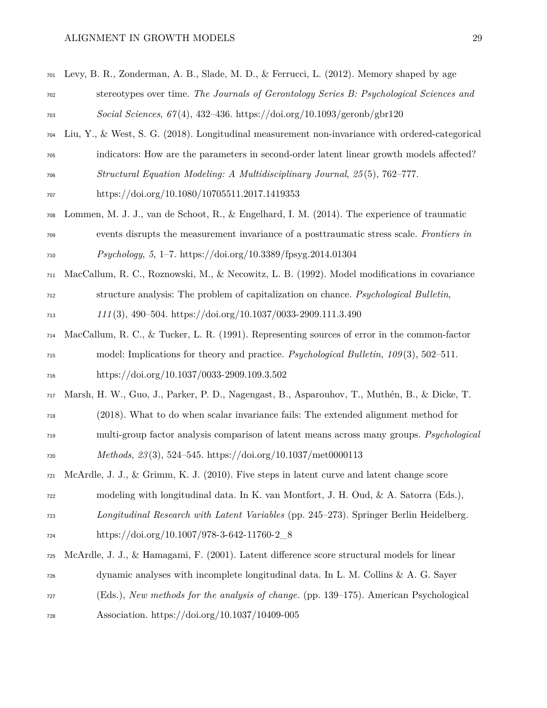<span id="page-28-7"></span><span id="page-28-6"></span><span id="page-28-5"></span><span id="page-28-4"></span><span id="page-28-3"></span><span id="page-28-2"></span><span id="page-28-1"></span><span id="page-28-0"></span>

| 701 | Levy, B. R., Zonderman, A. B., Slade, M. D., & Ferrucci, L. (2012). Memory shaped by age        |
|-----|-------------------------------------------------------------------------------------------------|
| 702 | stereotypes over time. The Journals of Gerontology Series B: Psychological Sciences and         |
| 703 | Social Sciences, $67(4)$ , 432-436. https://doi.org/10.1093/geronb/gbr120                       |
| 704 | Liu, Y., & West, S. G. (2018). Longitudinal measurement non-invariance with ordered-categorical |
| 705 | indicators: How are the parameters in second-order latent linear growth models affected?        |
| 706 | Structural Equation Modeling: A Multidisciplinary Journal, 25(5), 762-777.                      |
| 707 | https://doi.org/10.1080/10705511.2017.1419353                                                   |
| 708 | Lommen, M. J. J., van de Schoot, R., & Engelhard, I. M. (2014). The experience of traumatic     |
| 709 | events disrupts the measurement invariance of a posttraumatic stress scale. Frontiers in        |
| 710 | <i>Psychology</i> , 5, 1–7. https://doi.org/10.3389/fpsyg.2014.01304                            |
| 711 | MacCallum, R. C., Roznowski, M., & Necowitz, L. B. (1992). Model modifications in covariance    |
| 712 | structure analysis: The problem of capitalization on chance. <i>Psychological Bulletin</i> ,    |
| 713 | $111(3)$ , 490-504. https://doi.org/10.1037/0033-2909.111.3.490                                 |
| 714 | MacCallum, R. C., & Tucker, L. R. (1991). Representing sources of error in the common-factor    |
| 715 | model: Implications for theory and practice. Psychological Bulletin, $109(3)$ , 502-511.        |
| 716 | https://doi.org/10.1037/0033-2909.109.3.502                                                     |
| 717 | Marsh, H. W., Guo, J., Parker, P. D., Nagengast, B., Asparouhov, T., Muthén, B., & Dicke, T.    |
| 718 | (2018). What to do when scalar invariance fails: The extended alignment method for              |
| 719 | multi-group factor analysis comparison of latent means across many groups. <i>Psychological</i> |
| 720 | Methods, $23(3)$ , 524-545. https://doi.org/10.1037/met0000113                                  |
| 721 | McArdle, J. J., & Grimm, K. J. (2010). Five steps in latent curve and latent change score       |
| 722 | modeling with longitudinal data. In K. van Montfort, J. H. Oud, & A. Satorra (Eds.),            |
| 723 | Longitudinal Research with Latent Variables (pp. 245–273). Springer Berlin Heidelberg.          |
| 724 | https://doi.org/10.1007/978-3-642-11760-2_8                                                     |
| 725 | McArdle, J. J., & Hamagami, F. (2001). Latent difference score structural models for linear     |
| 726 | dynamic analyses with incomplete longitudinal data. In L. M. Collins $\&$ A. G. Sayer           |
| 727 | (Eds.), New methods for the analysis of change. (pp. 139–175). American Psychological           |
| 728 | Association. https://doi.org/10.1037/10409-005                                                  |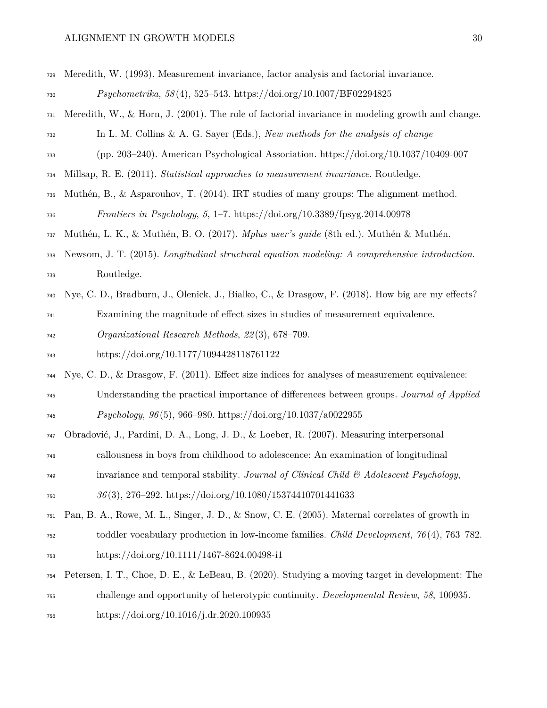# $\begin{minipage}{0.9\linewidth} \textbf{ALIGNMENT IN GROWTH MODELS} & \textbf{30} \end{minipage}$

<span id="page-29-10"></span><span id="page-29-9"></span><span id="page-29-8"></span><span id="page-29-7"></span><span id="page-29-6"></span><span id="page-29-5"></span><span id="page-29-4"></span><span id="page-29-3"></span><span id="page-29-2"></span><span id="page-29-1"></span><span id="page-29-0"></span>

| 729 | Meredith, W. (1993). Measurement invariance, factor analysis and factorial invariance.                 |
|-----|--------------------------------------------------------------------------------------------------------|
| 730 | $Psychometrika, 58(4), 525-543. https://doi.org/10.1007/BF02294825$                                    |
| 731 | Meredith, W., & Horn, J. $(2001)$ . The role of factorial invariance in modeling growth and change.    |
| 732 | In L. M. Collins & A. G. Sayer (Eds.), New methods for the analysis of change                          |
| 733 | (pp. 203–240). American Psychological Association. https://doi.org/10.1037/10409-007                   |
| 734 | Millsap, R. E. (2011). Statistical approaches to measurement invariance. Routledge.                    |
| 735 | Muthén, B., & Asparouhov, T. (2014). IRT studies of many groups: The alignment method.                 |
| 736 | Frontiers in Psychology, 5, 1–7. https://doi.org/10.3389/fpsyg.2014.00978                              |
| 737 | Muthén, L. K., & Muthén, B. O. (2017). Mplus user's guide (8th ed.). Muthén & Muthén.                  |
| 738 | Newsom, J. T. (2015). Longitudinal structural equation modeling: A comprehensive introduction.         |
| 739 | Routledge.                                                                                             |
| 740 | Nye, C. D., Bradburn, J., Olenick, J., Bialko, C., & Drasgow, F. (2018). How big are my effects?       |
| 741 | Examining the magnitude of effect sizes in studies of measurement equivalence.                         |
| 742 | Organizational Research Methods, 22(3), 678-709.                                                       |
| 743 | https://doi.org/10.1177/1094428118761122                                                               |
| 744 | Nye, C. D., $\&$ Drasgow, F. (2011). Effect size indices for analyses of measurement equivalence:      |
| 745 | Understanding the practical importance of differences between groups. Journal of Applied               |
| 746 | <i>Psychology</i> , $96(5)$ , $966-980$ . https://doi.org/10.1037/a0022955                             |
| 747 | Obradović, J., Pardini, D. A., Long, J. D., & Loeber, R. (2007). Measuring interpersonal               |
| 748 | callousness in boys from childhood to adolescence: An examination of longitudinal                      |
| 749 | invariance and temporal stability. Journal of Clinical Child $\mathcal{B}'$ Adolescent Psychology,     |
| 750 | $36(3), 276-292.$ https://doi.org/10.1080/15374410701441633                                            |
| 751 | Pan, B. A., Rowe, M. L., Singer, J. D., & Snow, C. E. (2005). Maternal correlates of growth in         |
| 752 | toddler vocabulary production in low-income families. <i>Child Development</i> , $76(4)$ , $763-782$ . |
| 753 | https://doi.org/10.1111/1467-8624.00498-i1                                                             |
| 754 | Petersen, I. T., Choe, D. E., & LeBeau, B. (2020). Studying a moving target in development: The        |
| 755 | challenge and opportunity of heterotypic continuity. Developmental Review, 58, 100935.                 |
| 756 | https://doi.org/10.1016/j.dr.2020.100935                                                               |
|     |                                                                                                        |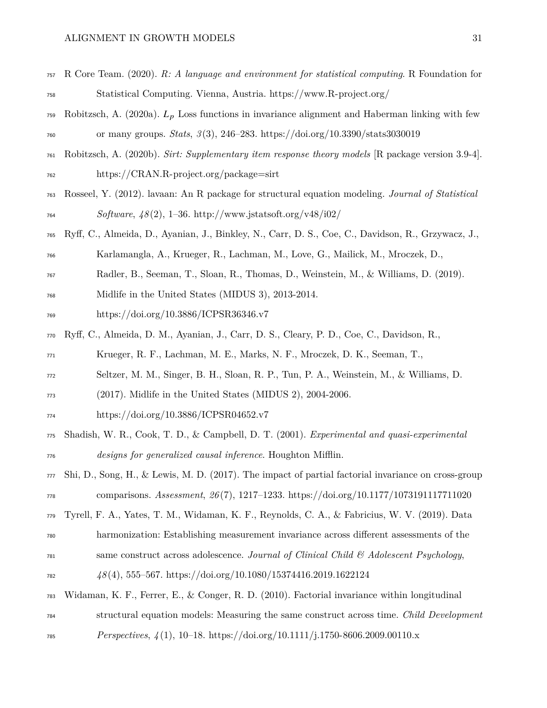# $\begin{tabular}{c} ALIGNMENT IN GROWTH MODELS \end{tabular} \begin{tabular}{c} \multicolumn{2}{c}{} & \multicolumn{2}{c}{} & \multicolumn{2}{c}{} & \multicolumn{2}{c}{} \\ \multicolumn{2}{c}{} & \multicolumn{2}{c}{} & \multicolumn{2}{c}{} \\ \multicolumn{2}{c}{} & \multicolumn{2}{c}{} & \multicolumn{2}{c}{} \\ \multicolumn{2}{c}{} & \multicolumn{2}{c}{} & \multicolumn{2}{c}{} \\ \multicolumn{2}{c}{} & \multicolumn{2}{c}{} \\ \multicolumn{2}{c}{} & \multicolumn{2}{c}{} \\ \mult$

<span id="page-30-9"></span><span id="page-30-8"></span><span id="page-30-7"></span><span id="page-30-6"></span><span id="page-30-5"></span><span id="page-30-4"></span><span id="page-30-3"></span><span id="page-30-2"></span><span id="page-30-1"></span><span id="page-30-0"></span>

| 757 | R Core Team. (2020). R: A language and environment for statistical computing. R Foundation for      |
|-----|-----------------------------------------------------------------------------------------------------|
| 758 | Statistical Computing. Vienna, Austria. https://www.R-project.org/                                  |
| 759 | Robitzsch, A. (2020a). $L_p$ Loss functions in invariance alignment and Haberman linking with few   |
| 760 | or many groups. <i>Stats</i> , $3(3)$ , 246-283. https://doi.org/10.3390/stats3030019               |
| 761 | Robitzsch, A. (2020b). Sirt: Supplementary item response theory models [R package version 3.9-4].   |
| 762 | https://CRAN.R-project.org/package=sirt                                                             |
| 763 | Rosseel, Y. (2012). lavaan: An R package for structural equation modeling. Journal of Statistical   |
| 764 | <i>Software</i> , $\frac{1}{8}(2)$ , 1-36. http://www.jstatsoft.org/v48/i02/                        |
| 765 | Ryff, C., Almeida, D., Ayanian, J., Binkley, N., Carr, D. S., Coe, C., Davidson, R., Grzywacz, J.,  |
| 766 | Karlamangla, A., Krueger, R., Lachman, M., Love, G., Mailick, M., Mroczek, D.,                      |
| 767 | Radler, B., Seeman, T., Sloan, R., Thomas, D., Weinstein, M., & Williams, D. (2019).                |
| 768 | Midlife in the United States (MIDUS 3), 2013-2014.                                                  |
| 769 | https://doi.org/10.3886/ICPSR36346.v7                                                               |
| 770 | Ryff, C., Almeida, D. M., Ayanian, J., Carr, D. S., Cleary, P. D., Coe, C., Davidson, R.,           |
| 771 | Krueger, R. F., Lachman, M. E., Marks, N. F., Mroczek, D. K., Seeman, T.,                           |
| 772 | Seltzer, M. M., Singer, B. H., Sloan, R. P., Tun, P. A., Weinstein, M., & Williams, D.              |
| 773 | $(2017)$ . Midlife in the United States (MIDUS 2), 2004-2006.                                       |
| 774 | https://doi.org/10.3886/ICPSR04652.v7                                                               |
| 775 | Shadish, W. R., Cook, T. D., & Campbell, D. T. (2001). Experimental and quasi-experimental          |
| 776 | designs for generalized causal inference. Houghton Mifflin.                                         |
| 777 | Shi, D., Song, H., & Lewis, M. D. (2017). The impact of partial factorial invariance on cross-group |
| 778 | comparisons. Assessment, $26(7)$ , 1217-1233. https://doi.org/10.1177/1073191117711020              |
| 779 | Tyrell, F. A., Yates, T. M., Widaman, K. F., Reynolds, C. A., & Fabricius, W. V. (2019). Data       |
| 780 | harmonization: Establishing measurement invariance across different assessments of the              |
| 781 | same construct across adolescence. Journal of Clinical Child & Adolescent Psychology,               |
| 782 | $48(4)$ , 555-567. https://doi.org/10.1080/15374416.2019.1622124                                    |
| 783 | Widaman, K. F., Ferrer, E., & Conger, R. D. (2010). Factorial invariance within longitudinal        |
| 784 | structural equation models: Measuring the same construct across time. Child Development             |
| 785 | <i>Perspectives,</i> $\frac{1}{4}(1)$ , 10-18. https://doi.org/10.1111/j.1750-8606.2009.00110.x     |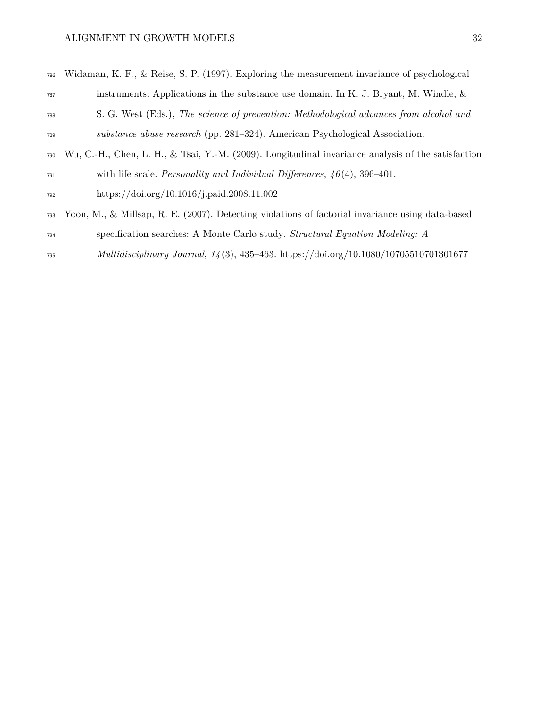<span id="page-31-1"></span>

| 786 | Widaman, K. F., & Reise, S. P. (1997). Exploring the measurement invariance of psychological       |
|-----|----------------------------------------------------------------------------------------------------|
| 787 | instruments: Applications in the substance use domain. In K. J. Bryant, M. Windle, $\&$            |
| 788 | S. G. West (Eds.), The science of prevention: Methodological advances from alcohol and             |
| 789 | substance abuse research (pp. 281–324). American Psychological Association.                        |
| 790 | Wu, C.-H., Chen, L. H., & Tsai, Y.-M. (2009). Longitudinal invariance analysis of the satisfaction |
| 791 | with life scale. <i>Personality and Individual Differences</i> , $46(4)$ , 396–401.                |
| 792 | https://doi.org/10.1016/j.paid.2008.11.002                                                         |
|     |                                                                                                    |

- <span id="page-31-2"></span><span id="page-31-0"></span> Yoon, M., & Millsap, R. E. (2007). Detecting violations of factorial invariance using data-based specification searches: A Monte Carlo study. *Structural Equation Modeling: A*
- *Multidisciplinary Journal*, *14* (3), 435–463.<https://doi.org/10.1080/10705510701301677>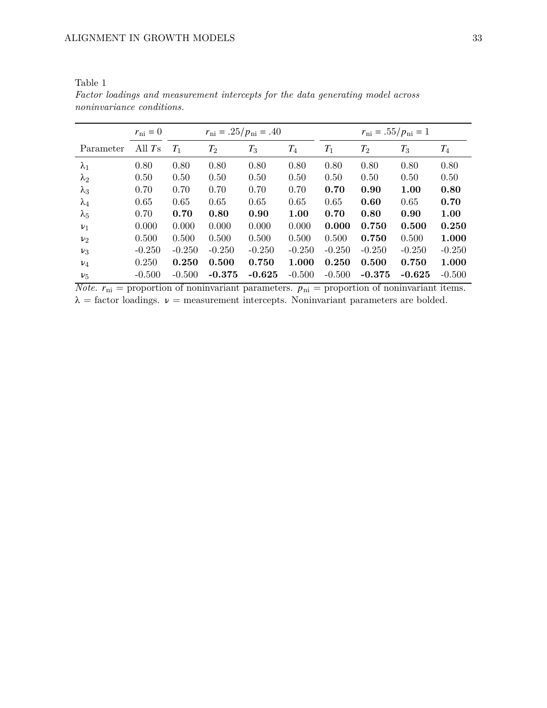|             | $r_{\rm ni} = 0$   |          |          | $r_{\rm ni} = .25/p_{\rm ni} = .40$ |          | $r_{\rm ni} = .55/p_{\rm ni} = 1$ |                    |          |          |  |  |
|-------------|--------------------|----------|----------|-------------------------------------|----------|-----------------------------------|--------------------|----------|----------|--|--|
| Parameter   | All T <sub>s</sub> | $T_1$    | $T_2$    | $T_3$                               | $T_{4}$  | $T_1$                             | $\scriptstyle T_2$ | $T_3$    | $T_{4}$  |  |  |
| $\lambda_1$ | 0.80               | 0.80     | 0.80     | 0.80                                | 0.80     | 0.80                              | 0.80               | 0.80     | 0.80     |  |  |
| $\lambda_2$ | 0.50               | 0.50     | 0.50     | 0.50                                | 0.50     | 0.50                              | 0.50               | 0.50     | 0.50     |  |  |
| $\lambda_3$ | 0.70               | 0.70     | 0.70     | 0.70                                | 0.70     | 0.70                              | 0.90               | 1.00     | 0.80     |  |  |
| $\lambda_4$ | 0.65               | 0.65     | 0.65     | 0.65                                | 0.65     | 0.65                              | 0.60               | 0.65     | 0.70     |  |  |
| $\lambda_5$ | 0.70               | 0.70     | 0.80     | 0.90                                | 1.00     | 0.70                              | 0.80               | 0.90     | 1.00     |  |  |
| $\nu_1$     | 0.000              | 0.000    | 0.000    | 0.000                               | 0.000    | 0.000                             | 0.750              | 0.500    | 0.250    |  |  |
| $\nu_{2}$   | 0.500              | 0.500    | 0.500    | 0.500                               | 0.500    | 0.500                             | 0.750              | 0.500    | 1.000    |  |  |
| $\nu_3$     | $-0.250$           | $-0.250$ | $-0.250$ | $-0.250$                            | $-0.250$ | $-0.250$                          | $-0.250$           | $-0.250$ | $-0.250$ |  |  |
| $\nu_4$     | 0.250              | 0.250    | 0.500    | 0.750                               | 1.000    | 0.250                             | 0.500              | 0.750    | 1.000    |  |  |
| $\nu_{5}$   | $-0.500$           | $-0.500$ | $-0.375$ | $-0.625$                            | $-0.500$ | $-0.500$                          | $-0.375$           | $-0.625$ | $-0.500$ |  |  |

<span id="page-32-0"></span>Table 1 *Factor loadings and measurement intercepts for the data generating model across noninvariance conditions.*

*Note.*  $r_{ni}$  = proportion of noninvariant parameters.  $p_{ni}$  = proportion of noninvariant items.  $\lambda$  = factor loadings.  $\nu$  = measurement intercepts. Noninvariant parameters are bolded.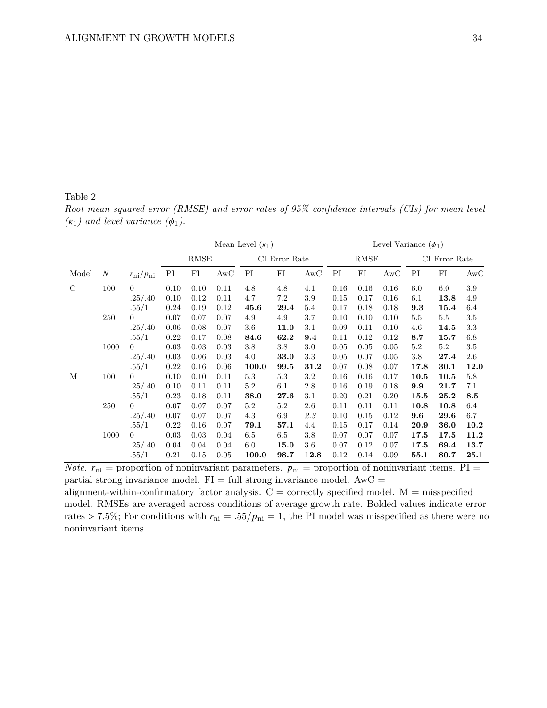## <span id="page-33-0"></span>Table 2

*Root mean squared error (RMSE) and error rates of 95% confidence intervals (CIs) for mean level*  $(\kappa_1)$  and level variance  $(\phi_1)$ .

|               |                  |                         | Mean Level $(\kappa_1)$ |                       |      |               |             |         | Level Variance $(\phi_1)$ |      |      |               |         |         |  |
|---------------|------------------|-------------------------|-------------------------|-----------------------|------|---------------|-------------|---------|---------------------------|------|------|---------------|---------|---------|--|
|               |                  |                         |                         | $\operatorname{RMSE}$ |      | CI Error Rate |             |         | $\operatorname{RMSE}$     |      |      | CI Error Rate |         |         |  |
| Model         | $\boldsymbol{N}$ | $r_{\rm ni}/p_{\rm ni}$ | PI                      | FI                    | AwC  | PI            | $_{\rm FI}$ | AwC     | PI                        | FI   | AwC  | PI            | FI      | AwC     |  |
| $\mathcal{C}$ | 100              | $\theta$                | 0.10                    | 0.10                  | 0.11 | 4.8           | 4.8         | 4.1     | 0.16                      | 0.16 | 0.16 | 6.0           | 6.0     | $3.9\,$ |  |
|               |                  | .25/.40                 | 0.10                    | 0.12                  | 0.11 | 4.7           | 7.2         | 3.9     | 0.15                      | 0.17 | 0.16 | 6.1           | 13.8    | 4.9     |  |
|               |                  | .55/1                   | 0.24                    | 0.19                  | 0.12 | 45.6          | 29.4        | 5.4     | 0.17                      | 0.18 | 0.18 | 9.3           | 15.4    | 6.4     |  |
|               | 250              | $\overline{0}$          | 0.07                    | 0.07                  | 0.07 | 4.9           | 4.9         | 3.7     | 0.10                      | 0.10 | 0.10 | 5.5           | $5.5\,$ | $3.5\,$ |  |
|               |                  | .25/.40                 | 0.06                    | 0.08                  | 0.07 | 3.6           | 11.0        | 3.1     | 0.09                      | 0.11 | 0.10 | 4.6           | 14.5    | 3.3     |  |
|               |                  | .55/1                   | 0.22                    | 0.17                  | 0.08 | 84.6          | 62.2        | 9.4     | 0.11                      | 0.12 | 0.12 | 8.7           | 15.7    | 6.8     |  |
|               | 1000             | $\overline{0}$          | 0.03                    | 0.03                  | 0.03 | 3.8           | 3.8         | 3.0     | 0.05                      | 0.05 | 0.05 | 5.2           | $5.2\,$ | $3.5\,$ |  |
|               |                  | .25/.40                 | 0.03                    | 0.06                  | 0.03 | 4.0           | 33.0        | 3.3     | 0.05                      | 0.07 | 0.05 | 3.8           | 27.4    | 2.6     |  |
|               |                  | .55/1                   | 0.22                    | 0.16                  | 0.06 | 100.0         | 99.5        | 31.2    | 0.07                      | 0.08 | 0.07 | 17.8          | 30.1    | 12.0    |  |
| М             | 100              | $\Omega$                | 0.10                    | 0.10                  | 0.11 | $5.3\,$       | 5.3         | $3.2\,$ | 0.16                      | 0.16 | 0.17 | 10.5          | 10.5    | $5.8\,$ |  |
|               |                  | .25/.40                 | 0.10                    | 0.11                  | 0.11 | 5.2           | 6.1         | 2.8     | 0.16                      | 0.19 | 0.18 | 9.9           | 21.7    | 7.1     |  |
|               |                  | .55/1                   | 0.23                    | 0.18                  | 0.11 | 38.0          | 27.6        | 3.1     | 0.20                      | 0.21 | 0.20 | 15.5          | 25.2    | 8.5     |  |
|               | 250              | $\overline{0}$          | 0.07                    | 0.07                  | 0.07 | 5.2           | 5.2         | 2.6     | 0.11                      | 0.11 | 0.11 | 10.8          | 10.8    | 6.4     |  |
|               |                  | .25/.40                 | 0.07                    | 0.07                  | 0.07 | 4.3           | 6.9         | 2.3     | 0.10                      | 0.15 | 0.12 | 9.6           | 29.6    | 6.7     |  |
|               |                  | .55/1                   | 0.22                    | 0.16                  | 0.07 | 79.1          | 57.1        | 4.4     | 0.15                      | 0.17 | 0.14 | 20.9          | 36.0    | 10.2    |  |
|               | 1000             | $\overline{0}$          | 0.03                    | 0.03                  | 0.04 | 6.5           | 6.5         | 3.8     | 0.07                      | 0.07 | 0.07 | 17.5          | 17.5    | 11.2    |  |
|               |                  | .25/.40                 | 0.04                    | 0.04                  | 0.04 | 6.0           | 15.0        | 3.6     | 0.07                      | 0.12 | 0.07 | 17.5          | 69.4    | 13.7    |  |
|               |                  | .55/1                   | 0.21                    | 0.15                  | 0.05 | 100.0         | 98.7        | 12.8    | 0.12                      | 0.14 | 0.09 | 55.1          | 80.7    | 25.1    |  |

*Note.*  $r_{ni}$  = proportion of noninvariant parameters.  $p_{ni}$  = proportion of noninvariant items. PI = partial strong invariance model.  $FI = full$  strong invariance model.  $AwC =$ alignment-within-confirmatory factor analysis.  $C =$  correctly specified model.  $M =$  misspecified model. RMSEs are averaged across conditions of average growth rate. Bolded values indicate error rates > 7.5%; For conditions with  $r_{\text{ni}} = .55/p_{\text{ni}} = 1$ , the PI model was misspecified as there were no noninvariant items.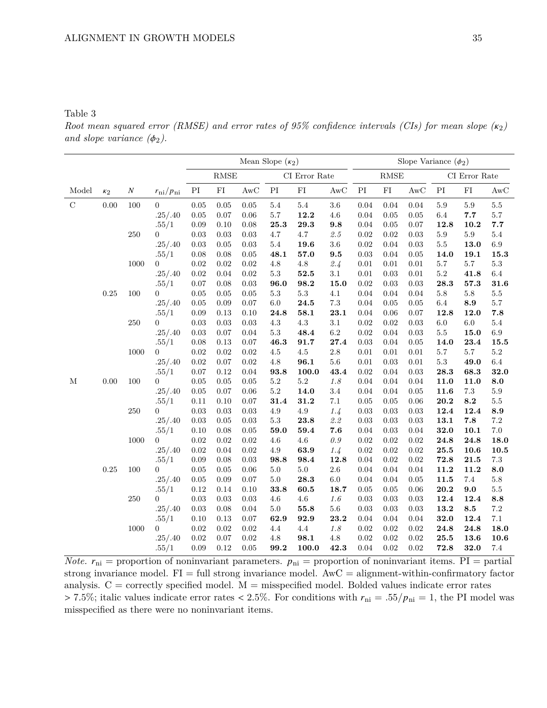### <span id="page-34-0"></span>Table 3

*Root mean squared error (RMSE) and error rates of 95% confidence intervals (CIs) for mean slope*  $(\kappa_2)$ *and slope variance*  $(\phi_2)$ .

|             |            |          |                         | Mean Slope $(\kappa_2)$                |            |          |                            |                       | Slope Variance $(\phi_2)$ |                            |                     |            |                            |            |                      |
|-------------|------------|----------|-------------------------|----------------------------------------|------------|----------|----------------------------|-----------------------|---------------------------|----------------------------|---------------------|------------|----------------------------|------------|----------------------|
|             |            |          |                         | $\operatorname{RMSE}$<br>CI Error Rate |            |          |                            | $\operatorname{RMSE}$ |                           |                            | $\rm CI$ Error Rate |            |                            |            |                      |
| Model       | $\kappa_2$ | $\cal N$ | $r_{\rm ni}/p_{\rm ni}$ | PI                                     | ${\rm FI}$ | AwC      | $\mathop{\rm PI}\nolimits$ | ${\rm FI}$            | $\operatorname{AwC}$      | $\mathop{\rm PI}\nolimits$ | ${\rm FI}$          | AwC        | $\mathop{\rm PI}\nolimits$ | ${\rm FI}$ | $\operatorname{AwC}$ |
| $\mathbf C$ | 0.00       | 100      | $\boldsymbol{0}$        | 0.05                                   | 0.05       | $0.05\,$ | $5.4\,$                    | $5.4\,$               | $3.6\,$                   | 0.04                       | 0.04                | $0.04\,$   | $5.9\,$                    | $5.9\,$    | $5.5\,$              |
|             |            |          | .25/.40                 | 0.05                                   | 0.07       | 0.06     | 5.7                        | 12.2                  | $4.6\,$                   | 0.04                       | 0.05                | 0.05       | 6.4                        | 7.7        | $5.7\,$              |
|             |            |          | .55/1                   | 0.09                                   | 0.10       | 0.08     | $\bf 25.3$                 | $\bf 29.3$            | 9.8                       | $0.04\,$                   | $0.05\,$            | 0.07       | 12.8                       | 10.2       | 7.7                  |
|             |            | 250      | $\overline{0}$          | 0.03                                   | 0.03       | 0.03     | 4.7                        | 4.7                   | 2.5                       | $0.02\,$                   | 0.02                | 0.03       | $5.9\,$                    | $5.9\,$    | 5.4                  |
|             |            |          | .25/.40                 | 0.03                                   | 0.05       | 0.03     | $5.4\,$                    | 19.6                  | $3.6\,$                   | 0.02                       | 0.04                | 0.03       | $5.5\,$                    | 13.0       | $6.9\,$              |
|             |            |          | .55/1                   | 0.08                                   | 0.08       | $0.05\,$ | 48.1                       | 57.0                  | 9.5                       | 0.03                       | 0.04                | 0.05       | 14.0                       | 19.1       | 15.3                 |
|             |            | 1000     | $\overline{0}$          | 0.02                                   | 0.02       | 0.02     | $4.8\,$                    | $4.8\,$               | 2.4                       | $0.01\,$                   | $0.01\,$            | $0.01\,$   | $5.7\,$                    | $5.7\,$    | $5.3\,$              |
|             |            |          | .25/.40                 | 0.02                                   | 0.04       | 0.02     | $5.3\,$                    | $\bf{52.5}$           | $3.1\,$                   | $\rm 0.01$                 | 0.03                | $\rm 0.01$ | $5.2\,$                    | 41.8       | $6.4\,$              |
|             |            |          | .55/1                   | 0.07                                   | 0.08       | 0.03     | 96.0                       | 98.2                  | 15.0                      | 0.02                       | 0.03                | 0.03       | 28.3                       | 57.3       | 31.6                 |
|             | 0.25       | 100      | 0                       | $0.05\,$                               | 0.05       | 0.05     | $5.3\,$                    | $5.3\,$               | $4.1\,$                   | $0.04\,$                   | 0.04                | 0.04       | $5.8\,$                    | $5.8\,$    | $5.5\,$              |
|             |            |          | .25/.40                 | $0.05\,$                               | 0.09       | $0.07\,$ | $6.0\,$                    | $\bf 24.5$            | $7.3\,$                   | $0.04\,$                   | 0.05                | 0.05       | $6.4\,$                    | 8.9        | 5.7                  |
|             |            |          | .55/1                   | 0.09                                   | 0.13       | 0.10     | 24.8                       | 58.1                  | 23.1                      | 0.04                       | 0.06                | 0.07       | 12.8                       | 12.0       | 7.8                  |
|             |            | $250\,$  | $\overline{0}$          | 0.03                                   | 0.03       | 0.03     | 4.3                        | $4.3\,$               | 3.1                       | $\rm 0.02$                 | 0.02                | 0.03       | $6.0\,$                    | $6.0\,$    | $5.4\,$              |
|             |            |          | .25/.40                 | 0.03                                   | 0.07       | 0.04     | $5.3\,$                    | 48.4                  | $6.2\,$                   | 0.02                       | 0.04                | $\rm 0.03$ | $5.5\,$                    | 15.0       | $6.9\,$              |
|             |            |          | .55/1                   | 0.08                                   | 0.13       | 0.07     | 46.3                       | 91.7                  | 27.4                      | 0.03                       | 0.04                | $0.05\,$   | 14.0                       | 23.4       | 15.5                 |
|             |            | 1000     | $\boldsymbol{0}$        | 0.02                                   | 0.02       | 0.02     | $4.5\,$                    | $4.5\,$               | $2.8\,$                   | $0.01\,$                   | $0.01\,$            | $0.01\,$   | $5.7\,$                    | $5.7\,$    | $5.2\,$              |
|             |            |          | .25/.40                 | 0.02                                   | 0.07       | 0.02     | $4.8\,$                    | 96.1                  | $5.6\,$                   | $0.01\,$                   | 0.03                | 0.01       | $5.3\,$                    | 49.0       | $6.4\,$              |
|             |            |          | .55/1                   | 0.07                                   | 0.12       | 0.04     | 93.8                       | 100.0                 | 43.4                      | $\rm 0.02$                 | 0.04                | 0.03       | $\bf 28.3$                 | 68.3       | 32.0                 |
| М           | 0.00       | 100      | $\overline{0}$          | $0.05\,$                               | 0.05       | 0.05     | $5.2\,$                    | $5.2\,$               | $1.8\,$                   | $0.04\,$                   | 0.04                | 0.04       | 11.0                       | 11.0       | 8.0                  |
|             |            |          | .25/.40                 | $0.05\,$                               | 0.07       | 0.06     | $5.2\,$                    | 14.0                  | $3.4\,$                   | 0.04                       | 0.04                | 0.05       | 11.6                       | $7.3\,$    | $5.9\,$              |
|             |            |          | .55/1                   | 0.11                                   | 0.10       | 0.07     | 31.4                       | 31.2                  | $7.1\,$                   | $0.05\,$                   | 0.05                | 0.06       | 20.2                       | 8.2        | 5.5                  |
|             |            | $250\,$  | $\overline{0}$          | 0.03                                   | 0.03       | 0.03     | $4.9\,$                    | $4.9\,$               | 1.4                       | 0.03                       | 0.03                | 0.03       | 12.4                       | 12.4       | 8.9                  |
|             |            |          | .25/.40                 | 0.03                                   | 0.05       | 0.03     | $5.3\,$                    | 23.8                  | $2.2\,$                   | 0.03                       | 0.03                | 0.03       | 13.1                       | 7.8        | $7.2\,$              |
|             |            |          | .55/1                   | 0.10                                   | 0.08       | 0.05     | 59.0                       | 59.4                  | 7.6                       | 0.04                       | 0.03                | 0.04       | 32.0                       | 10.1       | $7.0\,$              |
|             |            | 1000     | $\overline{0}$          | 0.02                                   | 0.02       | 0.02     | $4.6\,$                    | $4.6\,$               | $0.9\,$                   | 0.02                       | 0.02                | $\rm 0.02$ | 24.8                       | 24.8       | 18.0                 |
|             |            |          | .25/.40                 | 0.02                                   | 0.04       | 0.02     | 4.9                        | 63.9                  | 1.4                       | 0.02                       | 0.02                | 0.02       | 25.5                       | 10.6       | 10.5                 |
|             |            |          | .55/1                   | 0.09                                   | 0.08       | 0.03     | 98.8                       | 98.4                  | 12.8                      | 0.04                       | 0.02                | 0.02       | 72.8                       | 21.5       | $7.3\,$              |
|             | 0.25       | 100      | $\overline{0}$          | 0.05                                   | 0.05       | 0.06     | $5.0\,$                    | $5.0\,$               | $2.6\,$                   | $0.04\,$                   | 0.04                | 0.04       | 11.2                       | 11.2       | 8.0                  |
|             |            |          | .25/.40                 | 0.05                                   | 0.09       | 0.07     | $5.0\,$                    | 28.3                  | $6.0\,$                   | $0.04\,$                   | 0.04                | 0.05       | 11.5                       | $7.4\,$    | $5.8\,$              |
|             |            |          | .55/1                   | 0.12                                   | 0.14       | 0.10     | 33.8                       | 60.5                  | 18.7                      | 0.05                       | $0.05\,$            | 0.06       | 20.2                       | 9.0        | $5.5\,$              |
|             |            | $250\,$  | $\overline{0}$          | 0.03                                   | 0.03       | 0.03     | $4.6\,$                    | 4.6                   | $1.6\,$                   | $\rm 0.03$                 | 0.03                | 0.03       | 12.4                       | 12.4       | 8.8                  |
|             |            |          | .25/.40                 | 0.03                                   | 0.08       | 0.04     | $5.0\,$                    | 55.8                  | $5.6\,$                   | $\rm 0.03$                 | 0.03                | $\rm 0.03$ | 13.2                       | $\bf 8.5$  | $7.2\,$              |
|             |            |          | .55/1                   | 0.10                                   | 0.13       | 0.07     | 62.9                       | 92.9                  | 23.2                      | 0.04                       | 0.04                | 0.04       | 32.0                       | 12.4       | $7.1\,$              |
|             |            | 1000     | $\overline{0}$          | 0.02                                   | 0.02       | 0.02     | $4.4\,$                    | $4.4\,$               | $1.8\,$                   | $\rm 0.02$                 | 0.02                | 0.02       | 24.8                       | 24.8       | 18.0                 |
|             |            |          | .25/.40                 | 0.02                                   | 0.07       | 0.02     | 4.8                        | 98.1                  | $4.8\,$                   | 0.02                       | 0.02                | $\rm 0.02$ | 25.5                       | 13.6       | 10.6                 |
|             |            |          | .55/1                   | 0.09                                   | 0.12       | 0.05     | 99.2                       | 100.0                 | 42.3                      | 0.04                       | 0.02                | $\rm 0.02$ | 72.8                       | 32.0       | $7.4\,$              |

*Note.*  $r_{ni}$  = proportion of noninvariant parameters.  $p_{ni}$  = proportion of noninvariant items. PI = partial strong invariance model.  $FI = full$  strong invariance model.  $AwC = alignment$ -within-confirmatory factor analysis.  $C =$  correctly specified model.  $M =$  misspecified model. Bolded values indicate error rates  $> 7.5\%$ ; italic values indicate error rates  $< 2.5\%$ . For conditions with  $r_{\rm ni} = .55/p_{\rm ni} = 1$ , the PI model was misspecified as there were no noninvariant items.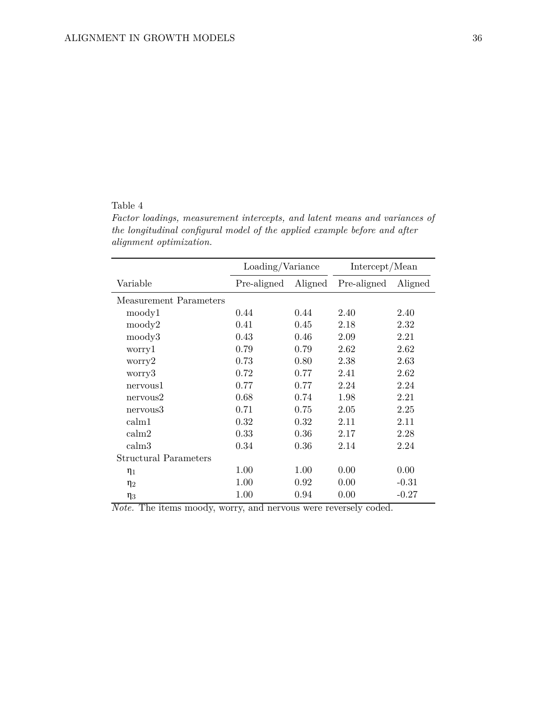# <span id="page-35-0"></span>Table 4

*Factor loadings, measurement intercepts, and latent means and variances of the longitudinal configural model of the applied example before and after alignment optimization.*

|                              | Loading/Variance |         | Intercept/Mean |         |
|------------------------------|------------------|---------|----------------|---------|
| Variable                     | Pre-aligned      | Aligned | Pre-aligned    | Aligned |
| Measurement Parameters       |                  |         |                |         |
| moody1                       | 0.44             | 0.44    | 2.40           | 2.40    |
| moody2                       | 0.41             | 0.45    | 2.18           | 2.32    |
| moody3                       | 0.43             | 0.46    | 2.09           | 2.21    |
| worry1                       | 0.79             | 0.79    | 2.62           | 2.62    |
| worry2                       | 0.73             | 0.80    | 2.38           | 2.63    |
| worry3                       | 0.72             | 0.77    | 2.41           | 2.62    |
| nervous1                     | 0.77             | 0.77    | 2.24           | 2.24    |
| nervous2                     | 0.68             | 0.74    | 1.98           | 2.21    |
| nervous3                     | 0.71             | 0.75    | 2.05           | 2.25    |
| calm1                        | 0.32             | 0.32    | 2.11           | 2.11    |
| calm2                        | 0.33             | 0.36    | 2.17           | 2.28    |
| calm3                        | 0.34             | 0.36    | 2.14           | 2.24    |
| <b>Structural Parameters</b> |                  |         |                |         |
| $\eta_1$                     | 1.00             | 1.00    | 0.00           | 0.00    |
| $\eta_2$                     | 1.00             | 0.92    | 0.00           | $-0.31$ |
| $\eta_3$                     | 1.00             | 0.94    | 0.00           | $-0.27$ |

*Note.* The items moody, worry, and nervous were reversely coded.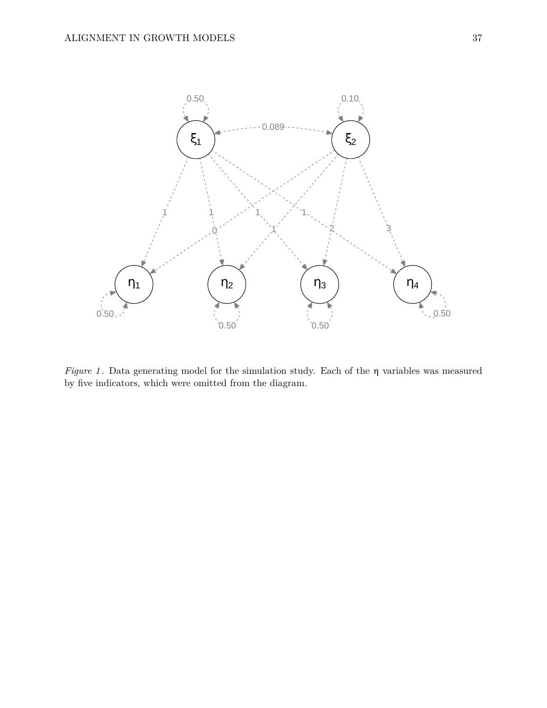<span id="page-36-0"></span>

*Figure 1* . Data generating model for the simulation study. Each of the η variables was measured by five indicators, which were omitted from the diagram.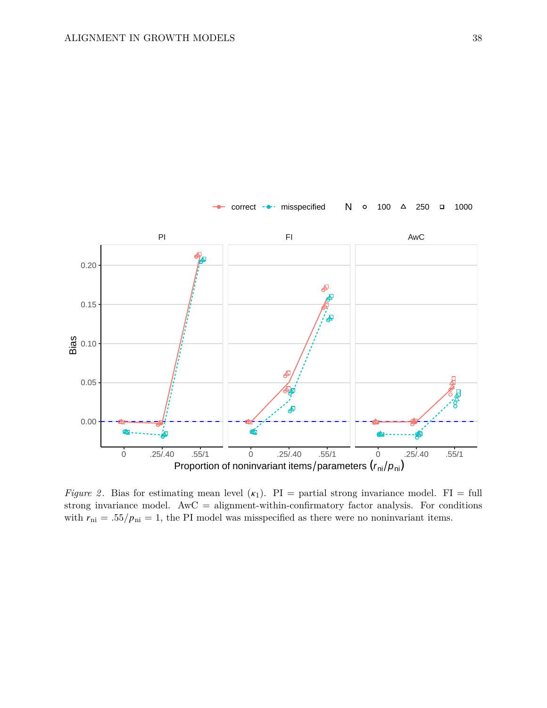<span id="page-37-0"></span>

*Figure 2*. Bias for estimating mean level  $(\kappa_1)$ . PI = partial strong invariance model. FI = full strong invariance model.  $A\text{wC} =$  alignment-within-confirmatory factor analysis. For conditions with  $r_{\rm ni} = .55/p_{\rm ni} = 1$ , the PI model was misspecified as there were no noninvariant items.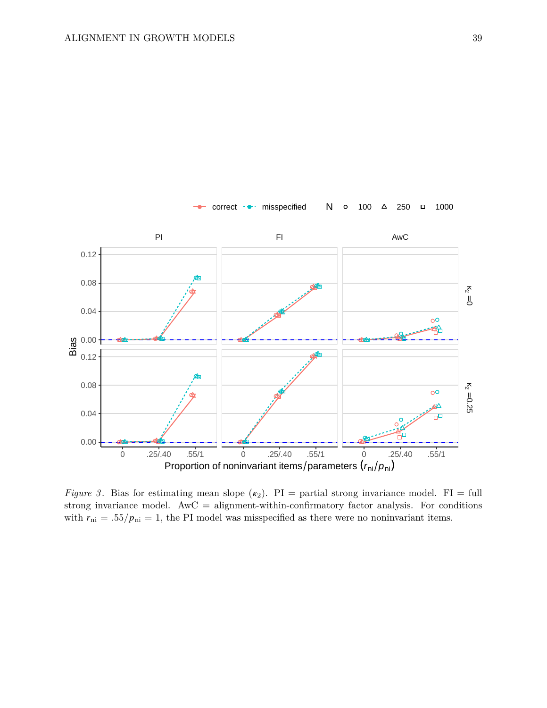<span id="page-38-0"></span>

*Figure 3*. Bias for estimating mean slope  $(\kappa_2)$ . PI = partial strong invariance model. FI = full strong invariance model.  $A\text{wC} =$  alignment-within-confirmatory factor analysis. For conditions with  $r_{\rm ni} = .55/p_{\rm ni} = 1$ , the PI model was misspecified as there were no noninvariant items.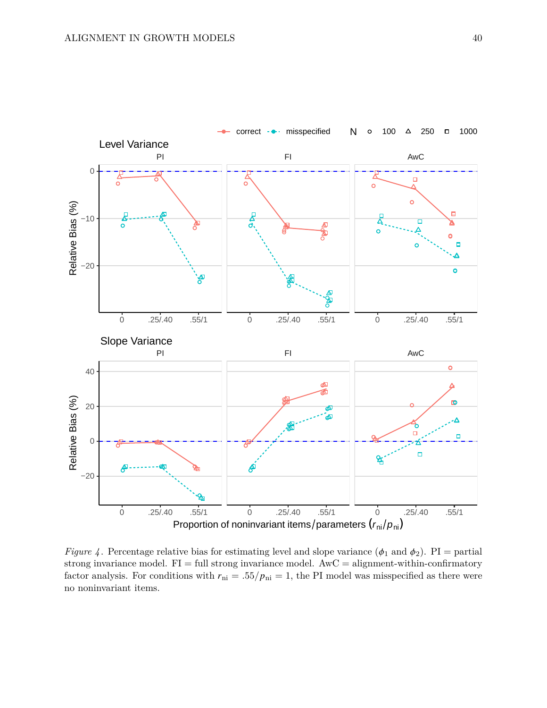<span id="page-39-0"></span>

*Figure 4*. Percentage relative bias for estimating level and slope variance  $(\phi_1$  and  $\phi_2)$ . PI = partial strong invariance model.  $FI = full$  strong invariance model.  $AwC = alignment$ -within-confirmatory factor analysis. For conditions with  $r_{\text{ni}} = .55/p_{\text{ni}} = 1$ , the PI model was misspecified as there were no noninvariant items.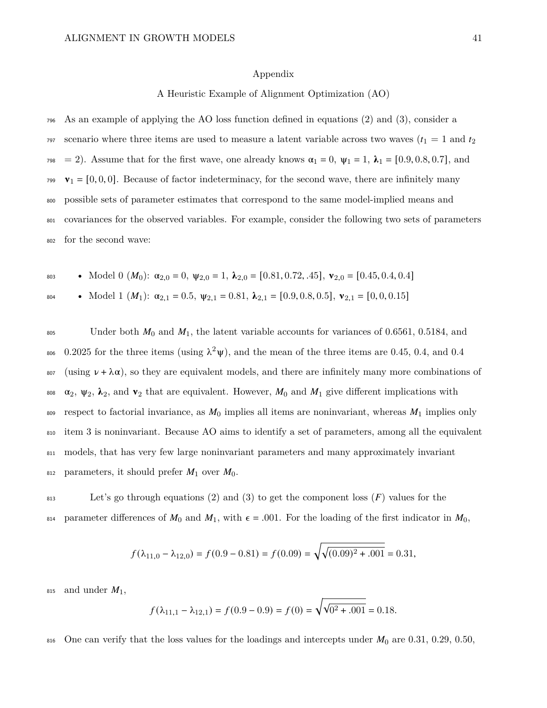### Appendix

A Heuristic Example of Alignment Optimization (AO)

<sup>796</sup> As an example of applying the AO loss function defined in equations [\(2\)](#page-7-0) and [\(3\)](#page-7-1), consider a  $\sigma$ <sub>797</sub> scenario where three items are used to measure a latent variable across two waves ( $t_1 = 1$  and  $t_2$ ) <sup>798</sup> = 2). Assume that for the first wave, one already knows  $\alpha_1 = 0$ ,  $\psi_1 = 1$ ,  $\lambda_1 = [0.9, 0.8, 0.7]$ , and  $v_1 = [0, 0, 0]$ . Because of factor indeterminacy, for the second wave, there are infinitely many <sup>800</sup> possible sets of parameter estimates that correspond to the same model-implied means and <sup>801</sup> covariances for the observed variables. For example, consider the following two sets of parameters <sup>802</sup> for the second wave:

\n- Model 0 
$$
(M_0)
$$
:  $\alpha_{2,0} = 0$ ,  $\psi_{2,0} = 1$ ,  $\lambda_{2,0} = [0.81, 0.72, .45]$ ,  $\mathbf{v}_{2,0} = [0.45, 0.4, 0.4]$
\n- Model 1  $(M_1)$ :  $\alpha_{2,1} = 0.5$ ,  $\psi_{2,1} = 0.81$ ,  $\lambda_{2,1} = [0.9, 0.8, 0.5]$ ,  $\mathbf{v}_{2,1} = [0, 0, 0.15]$
\n

805 Under both  $M_0$  and  $M_1$ , the latent variable accounts for variances of 0.6561, 0.5184, and  $\frac{1}{206}$  0.2025 for the three items (using  $\lambda^2$ ψ), and the mean of the three items are 0.45, 0.4, and 0.4  $\sin \nu + \lambda \alpha$ , so they are equivalent models, and there are infinitely many more combinations of 808  $\alpha_2$ ,  $\psi_2$ ,  $\lambda_2$ , and  $\mathbf{v}_2$  that are equivalent. However,  $M_0$  and  $M_1$  give different implications with 809 respect to factorial invariance, as  $M_0$  implies all items are noninvariant, whereas  $M_1$  implies only <sup>810</sup> item 3 is noninvariant. Because AO aims to identify a set of parameters, among all the equivalent <sup>811</sup> models, that has very few large noninvariant parameters and many approximately invariant 812 parameters, it should prefer  $M_1$  over  $M_0$ .

 $\mathbb{R}^{313}$  Let's go through equations [\(2\)](#page-7-0) and [\(3\)](#page-7-1) to get the component loss (F) values for the 814 parameter differences of  $M_0$  and  $M_1$ , with  $\epsilon = .001$ . For the loading of the first indicator in  $M_0$ ,

$$
f(\lambda_{11,0} - \lambda_{12,0}) = f(0.9 - 0.81) = f(0.09) = \sqrt{\sqrt{(0.09)^2 + .001}} = 0.31,
$$

815 and under  $M_1$ ,

$$
f(\lambda_{11,1} - \lambda_{12,1}) = f(0.9 - 0.9) = f(0) = \sqrt{\sqrt{0^2 + .001}} = 0.18.
$$

816 One can verify that the loss values for the loadings and intercepts under  $M_0$  are 0.31, 0.29, 0.50,